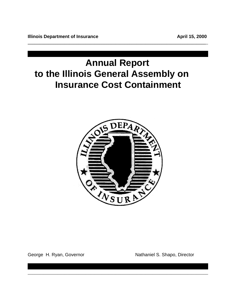# **Annual Report to the Illinois General Assembly on Insurance Cost Containment**

**\_\_\_\_\_\_\_\_\_\_\_\_\_\_\_\_\_\_\_\_\_\_\_\_\_\_\_\_\_\_\_\_\_\_\_\_\_\_\_\_\_\_\_\_\_\_\_\_\_\_\_\_\_\_\_\_\_\_\_\_\_\_\_\_\_\_\_\_\_\_\_\_\_\_\_\_\_**\_



\_\_\_\_\_\_\_\_\_\_\_\_\_\_\_\_\_\_\_\_\_\_\_\_\_\_\_\_\_\_\_\_\_\_\_\_\_\_\_\_\_\_\_\_\_\_\_\_\_\_\_\_\_\_\_\_\_\_\_\_\_\_\_\_\_\_\_\_\_\_\_\_\_\_\_\_\_\_

George H. Ryan, Governor Nathaniel S. Shapo, Director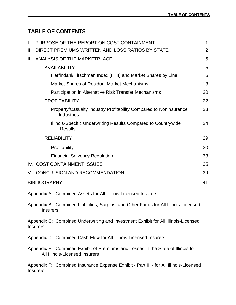# **TABLE OF CONTENTS**

| T. | PURPOSE OF THE REPORT ON COST CONTAINMENT                                                                          | $\mathbf{1}$   |
|----|--------------------------------------------------------------------------------------------------------------------|----------------|
| Ш. | DIRECT PREMIUMS WRITTEN AND LOSS RATIOS BY STATE                                                                   | $\overline{2}$ |
|    | III. ANALYSIS OF THE MARKETPLACE                                                                                   | 5              |
|    | <b>AVAILABILITY</b>                                                                                                | 5              |
|    | Herfindahl/Hirschman Index (HHI) and Market Shares by Line                                                         | 5              |
|    | <b>Market Shares of Residual Market Mechanisms</b>                                                                 | 18             |
|    | Participation in Alternative Risk Transfer Mechanisms                                                              | 20             |
|    | <b>PROFITABILITY</b>                                                                                               | 22             |
|    | Property/Casualty Industry Profitability Compared to Noninsurance<br><b>Industries</b>                             | 23             |
|    | Illinois-Specific Underwriting Results Compared to Countrywide<br><b>Results</b>                                   | 24             |
|    | <b>RELIABILITY</b>                                                                                                 | 29             |
|    | Profitability                                                                                                      | 30             |
|    | <b>Financial Solvency Regulation</b>                                                                               | 33             |
|    | IV. COST CONTAINMENT ISSUES                                                                                        | 35             |
|    | V. CONCLUSION AND RECOMMENDATION                                                                                   | 39             |
|    | <b>BIBLIOGRAPHY</b>                                                                                                | 41             |
|    | Appendix A: Combined Assets for All Illinois-Licensed Insurers                                                     |                |
|    | Appendix B: Combined Liabilities, Surplus, and Other Funds for All Illinois-Licensed<br><b>Insurers</b>            |                |
|    | Appendix C: Combined Underwriting and Investment Exhibit for All Illinois-Licensed<br><b>Insurers</b>              |                |
|    | Appendix D: Combined Cash Flow for All Illinois-Licensed Insurers                                                  |                |
|    | Appendix E: Combined Exhibit of Premiums and Losses in the State of Illinois for<br>All Illinois-Licensed Insurers |                |

Appendix F: Combined Insurance Expense Exhibit - Part III - for All Illinois-Licensed Insurers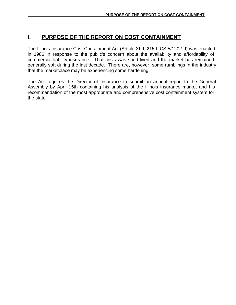# **I. PURPOSE OF THE REPORT ON COST CONTAINMENT**

The Illinois Insurance Cost Containment Act (Article XLII, 215 ILCS 5/1202-d) was enacted in 1986 in response to the public's concern about the availability and affordability of commercial liability insurance. That crisis was short-lived and the market has remained generally soft during the last decade. There are, however, some rumblings in the industry that the marketplace may be experiencing some hardening.

The Act requires the Director of Insurance to submit an annual report to the General Assembly by April 15th containing his analysis of the Illinois insurance market and his recommendation of the most appropriate and comprehensive cost containment system for the state.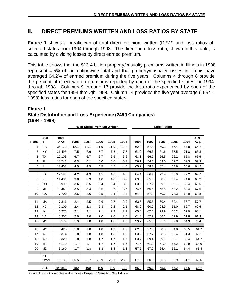# **II. DIRECT PREMIUMS WRITTEN AND LOSS RATIOS BY STATE**

**Figure 1** shows a breakdown of total direct premium written (DPW) and loss ratios of selected states from 1994 through 1998. The direct pure loss ratio, shown in this table, is calculated by dividing losses by direct earned premium.

This table shows that the \$13.4 billion property/casualty premiums written in Illinois in 1998 represent 4.5% of the nationwide total and that property/casualty losses in Illinois have averaged 64.2% of earned premium during the five years. Columns 4 through 8 provide the percent of direct written premiums reported by each of the specified states for 1994 through 1998. Columns 9 through 13 provide the loss ratio experienced by each of the specified states for 1994 through 1998. Column 14 provides the five-year average (1994 - 1998) loss ratios for each of the specified states.

# **Figure 1 State Distribution and Loss Experience (2499 Companies) (1994 - 1998)**

**% of Direct Premium Written Loss Ratios** 

|                | <b>Stat</b>  | 1998       |      |      |      |      |      |      |      |      |      |      | 5Yr. |
|----------------|--------------|------------|------|------|------|------|------|------|------|------|------|------|------|
| Rank           | e            | <b>DPW</b> | 1998 | 1997 | 1996 | 1995 | 1994 | 1998 | 1997 | 1996 | 1995 | 1994 | Avg. |
|                | CA           | 36,120     | 12.1 | 12.1 | 11.9 | 11.9 | 12.8 | 62.9 | 57.8 | 59.2 | 66.4 | 87.8 | 66.7 |
| 2              | <b>NY</b>    | 21,495     | 7.5  | 7.6  | 7.7  | 7.8  | 7.7  | 61.2 | 66.6 | 61.6 | 68.5 | 71.8 | 65.8 |
| 3              | <b>TX</b>    | 20,103     | 6.7  | 6.7  | 6.7  | 6.6  | 6.6  | 63.8 | 56.9 | 66.5 | 76.2 | 65.8 | 65.6 |
| $\overline{4}$ | <b>FL</b>    | 18,747     | 6.3  | 6.1  | 6.0  | 5.6  | 5.3  | 56.1 | 54.0 | 59.0 | 69.7 | 59.3 | 59.3 |
| 5              | IL           | 13,403     | 4.5  | 4.5  | 4.5  | 4.5  | 4.5  | 65.2 | 58.2 | 67.4 | 64.6 | 65.6 | 64.2 |
|                |              |            |      |      |      |      |      |      |      |      |      |      |      |
| 6              | PA           | 12,595     | 4.2  | 4.3  | 4.5  | 4.6  | 4.8  | 64.4 | 66.4 | 73.4 | 66.9 | 77.2 | 69.7 |
| $\overline{7}$ | <b>NJ</b>    | 11,481     | 3.8  | 3.9  | 4.0  | 4.0  | 3.9  | 63.3 | 65.5 | 68.7 | 69.4 | 74.6 | 68.2 |
| 8              | OH           | 10,906     | 3.6  | 3.5  | 3.4  | 3.4  | 3.2  | 63.2 | 67.2 | 69.9 | 66.1 | 66.4 | 66.5 |
| 9              | MI           | 10,441     | 3.5  | 3.4  | 3.5  | 3.6  | 3.6  | 74.5 | 65.5 | 65.8 | 63.2 | 68.4 | 67.5 |
| 10             | GA           | 7,700      | 2.6  | 2.6  | 2.5  | 2.4  | 2.4  | 64.9 | 57.9 | 60.7 | 73.3 | 63.0 | 63.8 |
|                |              |            |      |      |      |      |      |      |      |      |      |      |      |
| 11             | <b>MA</b>    | 7,316      | 2.4  | 2.5  | 2.6  | 2.7  | 2.9  | 63.5 | 55.5 | 60.4 | 52.4 | 56.7 | 57.7 |
| 12             | <b>NC</b>    | 7,109      | 2.4  | 2.3  | 2.3  | 2.2  | 2.1  | 68.2 | 60.7 | 94.9 | 61.0 | 62.7 | 69.6 |
| 13             | IN           | 6,275      | 2.1  | 2.1  | 2.1  | 2.2  | 2.1  | 65.6 | 67.0 | 73.9 | 66.2 | 67.9 | 68.1 |
| 14             | VA           | 5,957      | 2.0  | 2.0  | 2.0  | 2.0  | 2.0  | 61.0 | 57.9 | 66.1 | 59.9 | 61.8 | 61.3 |
| 15             | <b>MN</b>    | 5,579      | 1.9  | 1.8  | 1.8  | 1.8  | 1.8  | 99.7 | 65.8 | 61.1 | 57.8 | 64.3 | 70.4 |
|                |              |            |      |      |      |      |      |      |      |      |      |      |      |
| 16             | <b>MO</b>    | 5,425      | 1.8  | 1.8  | 1.8  | 1.9  | 1.9  | 62.3 | 57.3 | 60.8 | 64.8 | 63.5 | 61.7 |
| 17             | WI           | 5,374      | 1.8  | 1.8  | 1.8  | 1.8  | 1.8  | 63.3 | 57.7 | 58.6 | 59.4 | 61.3 | 60.1 |
| 18             | <b>WA</b>    | 5,320      | 1.8  | 1.8  | 1.7  | 1.7  | 1.7  | 63.7 | 69.4 | 69.9 | 60.7 | 59.4 | 64.7 |
| 19             | <b>TN</b>    | 5,179      | 1.7  | 1.7  | 1.7  | 1.7  | 1.6  | 71.5 | 61.3 | 61.9 | 65.2 | 62.9 | 64.6 |
| 20             | <b>MD</b>    | 5,160      | 1.7  | 1.8  | 1.8  | 1.8  | 1.8  | 57.6 | 57.9 | 65.4 | 62.1 | 64.4 | 61.4 |
|                |              |            |      |      |      |      |      |      |      |      |      |      |      |
|                | All<br>Other | 76,188     | 25.5 | 25.7 | 25.9 | 26.1 | 25.5 | 67.0 | 60.0 | 65.5 | 63.9 | 61.1 | 63.6 |
|                | <b>ALL</b>   | 298,881    | 100  | 100  | 100  | 100  | 100  | 65.3 | 60.2 | 65.6 | 65.2 | 67.6 | 64.7 |

Source: Best's Aggregates & Averages - Property/Casualty, 1999 Edition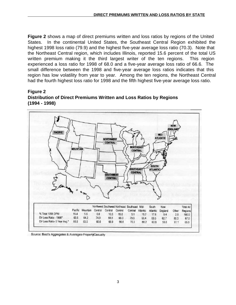**Figure 2** shows a map of direct premiums written and loss ratios by regions of the United States. In the continental United States, the Southeast Central Region exhibited the highest 1998 loss ratio (79.9) and the highest five-year average loss ratio (70.3). Note that the Northeast Central region, which includes Illinois, reported 15.6 percent of the total US written premium making it the third largest writer of the ten regions. This region experienced a loss ratio for 1998 of 68.0 and a five-year average loss ratio of 66.6. The small difference between the 1998 and five-year average loss ratios indicates that this region has low volatility from year to year. Among the ten regions, the Northeast Central had the fourth highest loss ratio for 1998 and the fifth highest five-year average loss ratio.





Source: Best's Aggregates & Averages-PropertyCasualty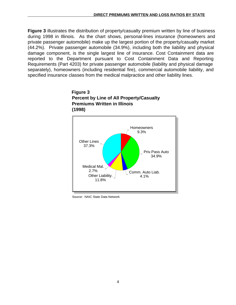**Figure 3** illustrates the distribution of property/casualty premium written by line of business during 1998 in Illinois. As the chart shows, personal-lines insurance (homeowners and private passenger automobile) make up the largest portion of the property/casualty market (44.2%). Private passenger automobile (34.9%), including both the liability and physical damage component, is the single largest line of insurance. Cost Containment data are reported to the Department pursuant to Cost Containment Data and Reporting Requirements (Part 4203) for private passenger automobile (liability and physical damage separately), homeowners (including residential fire), commercial automobile liability, and specified insurance classes from the medical malpractice and other liability lines.





Source: NAIC State Data Network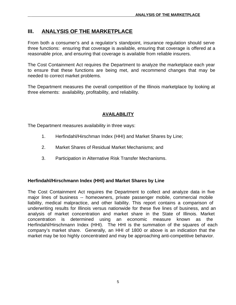# **III. ANALYSIS OF THE MARKETPLACE**

From both a consumer's and a regulator's standpoint, insurance regulation should serve three functions: ensuring that coverage is available, ensuring that coverage is offered at a reasonable price, and ensuring that coverage is available from reliable insurers.

The Cost Containment Act requires the Department to analyze the marketplace each year to ensure that these functions are being met, and recommend changes that may be needed to correct market problems.

The Department measures the overall competition of the Illinois marketplace by looking at three elements: availability, profitability, and reliability.

# **AVAILABILITY**

The Department measures availability in three ways:

- 1. Herfindahl/Hirschman Index (HHI) and Market Shares by Line;
- 2. Market Shares of Residual Market Mechanisms; and
- 3. Participation in Alternative Risk Transfer Mechanisms.

## **Herfindahl/Hirschmann Index (HHI) and Market Shares by Line**

The Cost Containment Act requires the Department to collect and analyze data in five major lines of business -- homeowners, private passenger mobile, commercial mobile liability, medical malpractice, and other liability. This report contains a comparison of underwriting results for Illinois versus nationwide for these five lines of business, and an analysis of market concentration and market share in the State of Illinois. Market concentration is determined using an economic measure known as the Herfindahl/Hirschmann Index (HHI). The HHI is the summation of the squares of each company's market share. Generally, an HHI of 1800 or above is an indication that the market may be too highly concentrated and may be approaching anti-competitive behavior.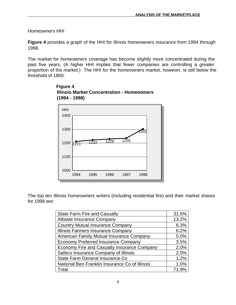# *Homeowners HHI*

**Figure 4** provides a graph of the HHI for Illinois homeowners insurance from 1994 through 1998.

The market for homeowners coverage has become slightly more concentrated during the past five years. (A higher HHI implies that fewer companies are controlling a greater proportion of the market.) The HHI for the homeowners market, however, is still below the threshold of 1800.



 **Figure 4 Illinois Market Concentration - Homeowners (1994 - 1998)**

The top ten Illinois homeowners writers (including residential fire) and their market shares for 1998 are:

| <b>State Farm Fire and Casualty</b>            | 31.5% |
|------------------------------------------------|-------|
| <b>Allstate Insurance Company</b>              | 13.2% |
| <b>Country Mutual Insurance Company</b>        | 6.3%  |
| Illinois Farmers Insurance Company             | 6.2%  |
| American Family Mutual Insurance Company       | 5.0%  |
| <b>Economy Preferred Insurance Company</b>     | 3.5%  |
| Economy Fire and Casualty Insurance Company    | 2.0%  |
| Safeco Insurance Company of Illinois           | 2.0%  |
| State Farm General Insurance Co                | 1.2%  |
| National Ben Franklin Insurance Co of Illinois | 1.0%  |
| Total                                          | 71.9% |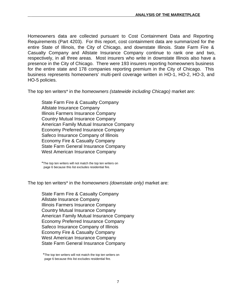Homeowners data are collected pursuant to Cost Containment Data and Reporting Requirements (Part 4203). For this report, cost containment data are summarized for the entire State of Illinois, the City of Chicago, and downstate Illinois. State Farm Fire & Casualty Company and Allstate Insurance Company continue to rank one and two, respectively, in all three areas. Most insurers who write in downstate Illinois also have a presence in the City of Chicago. There were 193 insurers reporting homeowners business for the entire state and 178 companies reporting premium in the City of Chicago. This business represents homeowners' multi-peril coverage written in HO-1, HO-2, HO-3, and HO-5 policies.

The top ten writers\* in the *homeowners (statewide including Chicago)* market are:

State Farm Fire & Casualty Company Allstate Insurance Company Illinois Farmers Insurance Company Country Mutual Insurance Company American Family Mutual Insurance Company Economy Preferred Insurance Company Safeco Insurance Company of Illinois Economy Fire & Casualty Company State Farm General Insurance Company West American Insurance Company

The top ten writers\* in the *homeowners (downstate only)* market are:

State Farm Fire & Casualty Company Allstate Insurance Company Illinois Farmers Insurance Company Country Mutual Insurance Company American Family Mutual Insurance Company Economy Preferred Insurance Company Safeco Insurance Company of Illinois Economy Fire & Casualty Company West American Insurance Company State Farm General Insurance Company

\*The top ten writers will not match the top ten writers on page 6 because this list excludes residential fire.

<sup>\*</sup>The top ten writers will not match the top ten writers on page 6 because this list excludes residential fire.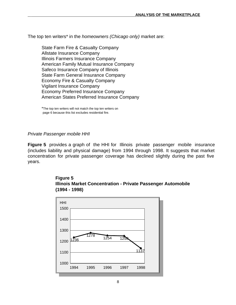The top ten writers\* in the *homeowners (Chicago only)* market are:

State Farm Fire & Casualty Company Allstate Insurance Company Illinois Farmers Insurance Company American Family Mutual Insurance Company Safeco Insurance Company of Illinois State Farm General Insurance Company Economy Fire & Casualty Company Vigilant Insurance Company Economy Preferred Insurance Company American States Preferred Insurance Company

\*The top ten writers will not match the top ten writers on page 6 because this list excludes residential fire.

#### *Private Passenger mobile HHI*

**Figure 5** provides a graph of the HHI for Illinois private passenger mobile insurance (includes liability and physical damage) from 1994 through 1998. It suggests that market concentration for private passenger coverage has declined slightly during the past five years.



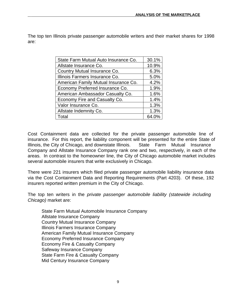The top ten Illinois private passenger automobile writers and their market shares for 1998 are:

| State Farm Mutual Auto Insurance Co. | 30.1% |
|--------------------------------------|-------|
| Allstate Insurance Co.               | 10.9% |
| Country Mutual Insurance Co.         | 6.3%  |
| Illinois Farmers Insurance Co.       | 5.0%  |
| American Family Mutual Insurance Co. | 4.2%  |
| Economy Preferred Insurance Co.      | 1.9%  |
| American Ambassador Casualty Co.     | 1.6%  |
| Economy Fire and Casualty Co.        | 1.4%  |
| Valor Insurance Co.                  | 1.3%  |
| Allstate Indemnity Co.               | 1.3%  |
| Total                                | 64.0% |

Cost Containment data are collected for the private passenger automobile line of insurance. For this report, the liability component will be presented for the entire State of Illinois, the City of Chicago, and downstate Illinois. State Farm Mutual Insurance Company and Allstate Insurance Company rank one and two, respectively, in each of the areas. In contrast to the homeowner line, the City of Chicago automobile market includes several automobile insurers that write exclusively in Chicago.

There were 221 insurers which filed private passenger automobile liability insurance data via the Cost Containment Data and Reporting Requirements (Part 4203). Of these, 192 insurers reported written premium in the City of Chicago.

The top ten writers in the *private passenger automobile liability (statewide including Chicago)* market are:

State Farm Mutual Automobile Insurance Company Allstate Insurance Company Country Mutual Insurance Company Illinois Farmers Insurance Company American Family Mutual Insurance Company Economy Preferred Insurance Company Economy Fire & Casualty Company Safeway Insurance Company State Farm Fire & Casualty Company Mid Century Insurance Company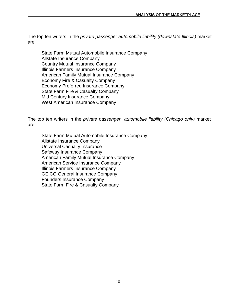The top ten writers in the *private passenger automobile liability (downstate Illinois)* market are:

State Farm Mutual Automobile Insurance Company Allstate Insurance Company Country Mutual Insurance Company Illinois Farmers Insurance Company American Family Mutual Insurance Company Economy Fire & Casualty Company Economy Preferred Insurance Company State Farm Fire & Casualty Company Mid Century Insurance Company West American Insurance Company

The top ten writers in the *private passenger automobile liability (Chicago only)* market are:

State Farm Mutual Automobile Insurance Company Allstate Insurance Company Universal Casualty Insurance Safeway Insurance Company American Family Mutual Insurance Company American Service Insurance Company Illinois Farmers Insurance Company GEICO General Insurance Company Founders Insurance Company State Farm Fire & Casualty Company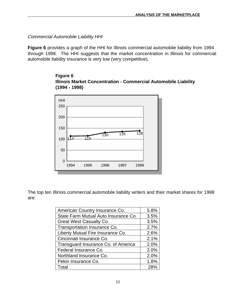*Commercial Automobile Liability HHI*

**Figure 6** provides a graph of the HHI for Illinois commercial automobile liability from 1994 through 1998. The HHI suggests that the market concentration in Illinois for commercial automobile liability insurance is very low (very competitive).





The top ten Illinois commercial automobile liability writers and their market shares for 1998 are:

| American Country Insurance Co.       | 5.8% |
|--------------------------------------|------|
| State Farm Mutual Auto Insurance Co. | 3.5% |
| <b>Great West Casualty Co.</b>       | 3.5% |
| Transportation Insurance Co.         | 2.7% |
| Liberty Mutual Fire Insurance Co.    | 2.6% |
| Cincinnati Insurance Co.             | 2.1% |
| Transguard Insurance Co. of America  | 2.0% |
| Federal Insurance Co.                | 2.0% |
| Northland Insurance Co.              | 2.0% |
| Pekin Insurance Co.                  | 1.8% |
| Total                                | 28%  |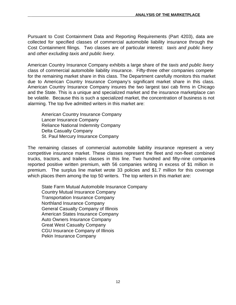Pursuant to Cost Containment Data and Reporting Requirements (Part 4203), data are collected for specified classes of commercial automobile liability insurance through the Cost Containment filings. Two classes are of particular interest: *taxis and public livery* and *other excluding taxis and public livery.*

American Country Insurance Company exhibits a large share of the *taxis and public livery* class of commercial automobile liability insurance. Fifty-three other companies compete for the remaining market share in this class. The Department carefully monitors this market due to American Country Insurance Company's significant market share in this class. American Country Insurance Company insures the two largest taxi cab firms in Chicago and the State. This is a unique and specialized market and the insurance marketplace can be volatile. Because this is such a specialized market, the concentration of business is not alarming. The top five admitted writers in this market are:

American Country Insurance Company Lancer Insurance Company Reliance National Indemnity Company Delta Casualty Company St. Paul Mercury Insurance Company

The remaining classes of commercial automobile liability insurance represent a very competitive insurance market. These classes represent the fleet and non-fleet combined trucks, tractors, and trailers classes in this line. Two hundred and fifty-nine companie**s** reported positive written premium, with 56 companies writing in excess of \$1 million in premium. The surplus line market wrote 33 policies and \$1.7 million for this coverage which places them among the top 50 writers. The top writers in this market are:

State Farm Mutual Automobile Insurance Company Country Mutual Insurance Company Transportation Insurance Company Northland Insurance Company General Casualty Company of Illinois American States Insurance Company Auto Owners Insurance Company Great West Casualty Company CGU Insurance Company of Illinois Pekin Insurance Company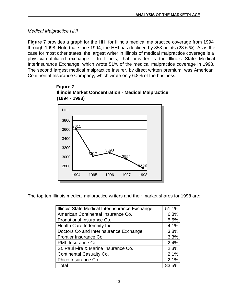*Medical Malpractice HHI*

**Figure 7** provides a graph for the HHI for Illinois medical malpractice coverage from 1994 through 1998. Note that since 1994, the HHI has declined by 853 points (23.6.%). As is the case for most other states, the largest writer in Illinois of medical malpractice coverage is a physician-affiliated exchange. In Illinois, that provider is the Illinois State Medical Interinsurance Exchange, which wrote 51% of the medical malpractice coverage in 1998. The second largest medical malpractice insurer, by direct written premium, was American Continental Insurance Company, which wrote only 6.8% of the business.





The top ten Illinois medical malpractice writers and their market shares for 1998 are:

| Illinois State Medical Interinsurance Exchange | 51.1% |
|------------------------------------------------|-------|
| American Continental Insurance Co.             | 6.8%  |
| Pronational Insurance Co.                      | 5.5%  |
| Health Care Indemnity Inc.                     | 4.1%  |
| Doctors Co and Interinsurance Exchange         | 3.8%  |
| Frontier Insurance Co.                         | 3.3%  |
| RML Insurance Co.                              | 2.4%  |
| St. Paul Fire & Marine Insurance Co.           | 2.3%  |
| Continental Casualty Co.                       | 2.1%  |
| Phico Insurance Co.                            | 2.1%  |
| Total                                          | 83.5% |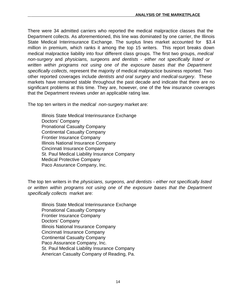There were 34 admitted carriers who reported the medical malpractice classes that the Department collects. As aforementioned, this line was dominated by one carrier, the Illinois State Medical Interinsurance Exchange. The surplus lines market accounted for \$3.4 million in premium, which ranks it among the top 15 writers. This report breaks down medical malpractice liability into four different class groups. The first two groups, *medical non-surgery* and *physicians, surgeons and dentists - either not specifically listed or written within programs not using one of the exposure bases that the Department specifically collects*, represent the majority of medical malpractice business reported. Two other reported coverages include *dentists and oral surgery* and *medical-surgery*. These markets have remained stable throughout the past decade and indicate that there are no significant problems at this time. They are, however, one of the few insurance coverages that the Department reviews under an applicable rating law.

The top ten writers in the *medical non-surgery* market are:

Illinois State Medical Interinsurance Exchange Doctors' Company Pronational Casualty Company Continental Casualty Company Frontier Insurance Company Illinois National Insurance Company Cincinnati Insurance Company St. Paul Medical Liability Insurance Company Medical Protective Company Paco Assurance Company, Inc.

The top ten writers in the *physicians, surgeons, and dentists - either not specifically listed or written within programs not using one of the exposure bases that the Department specifically collects* market are:

Illinois State Medical Interinsurance Exchange Pronational Casualty Company Frontier Insurance Company Doctors' Company Illinois National Insurance Company Cincinnati Insurance Company Continental Casualty Company Paco Assurance Company, Inc. St. Paul Medical Liability Insurance Company American Casualty Company of Reading, Pa.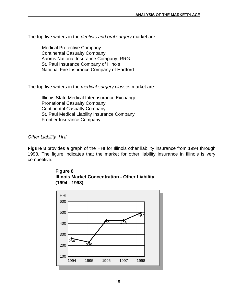The top five writers in the *dentists and oral surgery* market are:

 Medical Protective Company Continental Casualty Company Aaoms National Insurance Company, RRG St. Paul Insurance Company of Illinois National Fire Insurance Company of Hartford

The top five writers in the *medical-surgery classes* market are:

 Illinois State Medical Interinsurance Exchange Pronational Casualty Company Continental Casualty Company St. Paul Medical Liability Insurance Company Frontier Insurance Company

#### *Other Liability HHI*

**Figure 8** provides a graph of the HHI for Illinois other liability insurance from 1994 through 1998. The figure indicates that the market for other liability insurance in Illinois is very competitive.



**Illinois Market Concentration - Other Liability**



**Figure 8**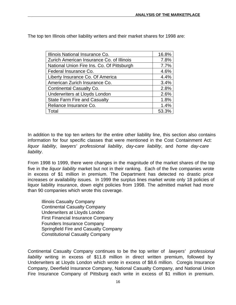The top ten Illinois other liability writers and their market shares for 1998 are:

| Illinois National Insurance Co.            | 16.8% |
|--------------------------------------------|-------|
| Zurich American Insurance Co. of Illinois  | 7.8%  |
| National Union Fire Ins. Co. Of Pittsburgh | 7.7%  |
| Federal Insurance Co.                      | 4.6%  |
| Liberty Insurance Co. Of America           | 4.4%  |
| American Zurich Insurance Co.              | 3.4%  |
| <b>Continental Casualty Co.</b>            | 2.8%  |
| Underwriters at Lloyds London              | 2.6%  |
| <b>State Farm Fire and Casualty</b>        | 1.8%  |
| Reliance Insurance Co.                     | 1.4%  |
| Гоtal                                      | 53.3% |

In addition to the top ten writers for the entire other liability line, this section also contains information for four specific classes that were mentioned in the Cost Containment Act: *liquor liability*, *lawyers' professional liability*, *day-care liability*, and *home day-care liability*.

From 1998 to 1999, there were changes in the magnitude of the market shares of the top five in the *liquor liability* market but not in their ranking. Each of the five companies wrote in excess of \$1 million in premium. The Department has detected no drastic price increases or availability issues. In 1999 the surplus lines market wrote only 18 policies of liquor liability insurance, down eight policies from 1998. The admitted market had more than 90 companies which wrote this coverage.

Illinois Casualty Company Continental Casualty Company Underwriters at Lloyds London First Financial Insurance Company Founders Insurance Company Springfield Fire and Casualty Company Constitutional Casualty Company

Continental Casualty Company continues to be the top writer of *lawyers' professional liability* writing in excess of \$11.8 million in direct written premium, followed by Underwriters at Lloyds London which wrote in excess of \$8.6 million. Coregis Insurance Company, Deerfield Insurance Company, National Casualty Company, and National Union Fire Insurance Company of Pittsburg each write in excess of \$1 million in premium.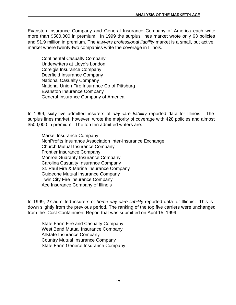Evanston Insurance Company and General Insurance Company of America each write more than \$500,000 in premium. In 1999 the surplus lines market wrote only 63 policies and \$1.9 million in premium. The *lawyers professional liability* market is a small, but active market where twenty-two companies write the coverage in Illinois.

Continental Casualty Company Underwriters at Lloyd's London Coreigis Insurance Company Deerfield Insurance Company National Casualty Company National Union Fire Insurance Co of Pittsburg Evanston Insurance Company General Insurance Company of America

In 1999, sixty-five admitted insurers of *day-care liability* reported data for Illinois. The surplus lines market, however, wrote the majority of coverage with 428 policies and almost \$500,000 in premium. The top ten admitted writers are:

Markel Insurance Company NonProfits Insurance Association Inter-Insurance Exchange Church Mutual Insurance Company Frontier Insurance Company Monroe Guaranty Insurance Company Carolina Casualty Insurance Company St. Paul Fire & Marine Insurance Company Guideone Mutual Insurance Company Twin City Fire Insurance Company Ace Insurance Company of Illinois

In 1999, 27 admitted insurers of *home day-care liability* reported data for Illinois. This is down slightly from the previous period. The ranking of the top five carriers were unchanged from the Cost Containment Report that was submitted on April 15, 1999.

State Farm Fire and Casualty Company West Bend Mutual Insurance Company Allstate Insurance Company Country Mutual Insurance Company State Farm General Insurance Company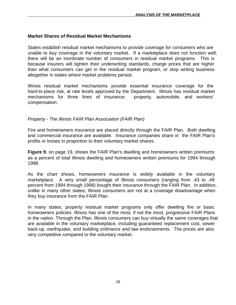#### **Market Shares of Residual Market Mechanisms**

States establish residual market mechanisms to provide coverage for consumers who are unable to buy coverage in the voluntary market. If a marketplace does not function well, there will be an inordinate number of consumers in residual market programs. This is because insurers will tighten their underwriting standards, charge prices that are higher than what consumers can get in the residual market program, or stop writing business altogether in states where market problems persist.

Illinois residual market mechanisms provide essential insurance coverage for the hard-to-place risk, at rate levels approved by the Department. Illinois has residual market mechanisms for three lines of insurance: property, automobile, and workers' compensation.

#### *Property - The Illinois FAIR Plan Association (FAIR Plan)*

Fire and homeowners insurance are placed directly through the FAIR Plan. Both dwelling and commercial insurance are available. Insurance companies share in the FAIR Plan's profits or losses in proportion to their voluntary market shares.

**Figure 9**, on page 19, shows the FAIR Plan's dwelling and homeowners written premiums as a percent of total Illinois dwelling and homeowners written premiums for 1994 through 1998.

As the chart shows, homeowners insurance is widely available in the voluntary marketplace. A very small percentage of Illinois consumers (ranging from .43 to .49 percent from 1994 through 1998) bought their insurance through the FAIR Plan. In addition, unlike in many other states, Illinois consumers are not at a coverage disadvantage when they buy insurance from the FAIR Plan.

In many states, property residual market programs only offer dwelling fire or basic homeowners policies. Illinois has one of the most, if not the most, progressive FAIR Plans in the nation. Through the Plan, Illinois consumers can buy virtually the same coverages that are available in the voluntary marketplace, including guaranteed replacement cost, sewer back-up, earthquake, and building ordinance and law endorsements. The prices are also very competitive compared to the voluntary market.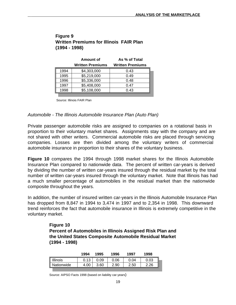|      | Amount of               | As % of Total           |
|------|-------------------------|-------------------------|
|      | <b>Written Premiums</b> | <b>Written Premiums</b> |
| 1994 | \$4,303,000             | 0.43                    |
| 1995 | \$5,219,000             | 0.49                    |
| 1996 | \$5,336,000             | 0.48                    |
| 1997 | \$5,408,000             | 0.47                    |
| 1998 | \$5,108,000             | 0.43                    |

## **Figure 9 Written Premiums for Illinois FAIR Plan (1994 - 1998)**

Source: Illinois FAIR Plan

#### *Automobile - The Illinois Automobile Insurance Plan (Auto Plan)*

Private passenger automobile risks are assigned to companies on a rotational basis in proportion to their voluntary market shares. Assignments stay with the company and are not shared with other writers. Commercial automobile risks are placed through servicing companies. Losses are then divided among the voluntary writers of commercial automobile insurance in proportion to their shares of the voluntary business.

**Figure 10** compares the 1994 through 1998 market shares for the Illinois Automobile Insurance Plan compared to nationwide data. The percent of written car-years is derived by dividing the number of written car-years insured through the residual market by the total number of written car-years insured through the voluntary market. Note that Illinois has had a much smaller percentage of automobiles in the residual market than the nationwide composite throughout the years.

In addition, the number of insured written car-years in the Illinois Automobile Insurance Plan has dropped from 8,847 in 1994 to 3,474 in 1997 and to 2,354 in 1998. This downward trend reinforces the fact that automobile insurance in Illinois is extremely competitive in the voluntary market.

> **Figure 10 Percent of Automobiles in Illinois Assigned Risk Plan and the United States Composite Automobile Residual Market (1994 - 1998)**

| Illinois<br>0.13<br>0.06<br>0.09<br>0.03<br>0.04<br>4.00<br>2.90<br>3.60<br>2.50 |            | 1994 | 1995 | 1996 | 1997 | 1998 |
|----------------------------------------------------------------------------------|------------|------|------|------|------|------|
|                                                                                  |            |      |      |      |      |      |
|                                                                                  | Nationwide |      |      |      |      | 2.26 |

Source: AIPSO Facts 1998 (based on liability car-years)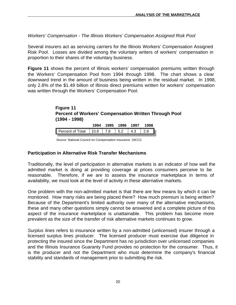*Workers' Compensation - The Illinois Workers' Compensation Assigned Risk Pool*

Several insurers act as servicing carriers for the Illinois Workers' Compensation Assigned Risk Pool. Losses are divided among the voluntary writers of workers' compensation in proportion to their shares of the voluntary business.

**Figure 11** shows the percent of Illinois workers' compensation premiums written through the Workers' Compensation Pool from 1994 through 1998. The chart shows a clear downward trend in the amount of business being written in the residual market. In 1998, only 2.8% of the \$1.49 billion of Illinois direct premiums written for workers' compensation was written through the Workers' Compensation Pool.

#### **Figure 11 Percent of Workers' Compensation Written Through Pool (1994 - 1998)**

|                               | 1994 | 1995 | 1996     | 1997 | 1998 |
|-------------------------------|------|------|----------|------|------|
| Percent of Total   10.8   7.8 |      |      | $1\,5.2$ | 4.3  | 2.8  |

Source: National Council on Compensation Insurance (NCCI)

#### **Participation in Alternative Risk Transfer Mechanisms**

Traditionally, the level of participation in alternative markets is an indicator of how well the admitted market is doing at providing coverage at prices consumers perceive to be reasonable. Therefore, if we are to assess the insurance marketplace in terms of availability, we must look at the level of activity in these alternative markets.

One problem with the non-admitted market is that there are few means by which it can be monitored. How many risks are being placed there? How much premium is being written? Because of the Department's limited authority over many of the alternative mechanisms, these and many other questions simply cannot be answered and a complete picture of this aspect of the insurance marketplace is unattainable. This problem has become more prevalent as the size of the transfer of risk alternative markets continues to grow.

*Surplus lines* refers to insurance written by a non-admitted (unlicensed) insurer through a licensed surplus lines producer. The licensed producer must exercise due diligence in protecting the insured since the Department has no jurisdiction over unlicensed companies and the Illinois Insurance Guaranty Fund provides no protection for the consumer. Thus, it is the producer and not the Department who must determine the company's financial stability and standards of management prior to submitting the risk.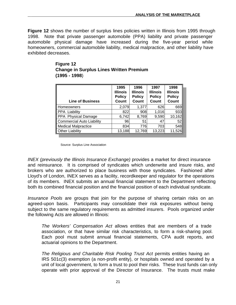**Figure 12** shows the number of surplus lines policies written in Illinois from 1995 through 1998. Note that private passenger automobile (PPA) liability and private passenger automobile physical damage have increased during the five-year period while homeowners, commercial automobile liability, medical malpractice, and other liability have exhibited decreases.

| Figure 12                                      |
|------------------------------------------------|
| <b>Change in Surplus Lines Written Premium</b> |
| $(1995 - 1998)$                                |

| <b>Line of Business</b>          | 1995<br><b>Illinois</b><br><b>Policy</b><br>Count | 1996<br><b>Illinois</b><br><b>Policy</b><br>Count | 1997<br><b>Illinois</b><br><b>Policy</b><br>Count | 1998<br><b>Illinois</b><br><b>Policy</b><br><b>Count</b> |
|----------------------------------|---------------------------------------------------|---------------------------------------------------|---------------------------------------------------|----------------------------------------------------------|
| <b>Homeowners</b>                | 2,079                                             | 1,377                                             | 626                                               | 669I                                                     |
| <b>PPA Liability</b>             | 822                                               | 908                                               | 1,016                                             | 933                                                      |
| PPA Physical Damage              | 6,742                                             | 8,769                                             | 9,590                                             | 10,162                                                   |
| <b>Commercial Auto Liability</b> | 96                                                | 51                                                | 47                                                | 52                                                       |
| <b>Medical Malpractice</b>       | 834                                               | 776                                               | 703                                               | 548I                                                     |
| <b>Other Liability</b>           | 13,188                                            | 12,769                                            | 13,223                                            | 11,526                                                   |

Source: Surplus Line Association

*INEX (previously the Illinois Insurance Exchange)* provides a market for direct insurance and reinsurance. It is comprised of syndicates which underwrite and insure risks, and brokers who are authorized to place business with those syndicates. Fashioned after Lloyd's of London, INEX serves as a facility, recordkeeper and regulator for the operations of its members. INEX submits an annual financial statement to the Department reflecting both its combined financial position and the financial position of each individual syndicate.

*Insurance Pools* are groups that join for the purpose of sharing certain risks on an agreed-upon basis. Participants may consolidate their risk exposures without being subject to the same regulatory requirements as admitted insurers. Pools organized under the following Acts are allowed in Illinois:

*The Workers' Compensation Act* allows entities that are members of a trade association, or that have similar risk characteristics, to form a risk-sharing pool. Each pool must submit annual financial statements, CPA audit reports, and actuarial opinions to the Department.

*The Religious and Charitable Risk Pooling Trust Act* permits entities having an IRS 501c(3) exemption (a non-profit entity), or hospitals owned and operated by a unit of local government, to form a trust to pool their risks. These trust funds can only operate with prior approval of the Director of Insurance. The trusts must make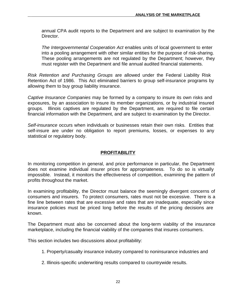annual CPA audit reports to the Department and are subject to examination by the Director.

*The Intergovernmental Cooperation Act* enables units of local government to enter into a pooling arrangement with other similar entities for the purpose of risk-sharing. These pooling arrangements are not regulated by the Department; however, they must register with the Department and file annual audited financial statements.

*Risk Retention and Purchasing Groups* are allowed under the Federal Liability Risk Retention Act of 1986. This Act eliminated barriers to group self-insurance programs by allowing them to buy group liability insurance.

*Captive Insurance Companies* may be formed by a company to insure its own risks and exposures, by an association to insure its member organizations, or by industrial insured groups. Illinois captives are regulated by the Department, are required to file certain financial information with the Department, and are subject to examination by the Director.

*Self-insurance* occurs when individuals or businesses retain their own risks. Entities that self-insure are under no obligation to report premiums, losses, or expenses to any statistical or regulatory body.

#### **PROFITABILITY**

In monitoring competition in general, and price performance in particular, the Department does not examine individual insurer prices for appropriateness. To do so is virtually impossible. Instead, it monitors the effectiveness of competition, examining the pattern of profits throughout the market.

In examining profitability, the Director must balance the seemingly divergent concerns of consumers and insurers. To protect consumers, rates must not be excessive. There is a fine line between rates that are excessive and rates that are inadequate, especially since insurance policies must be priced long before the results of the pricing decisions are known.

The Department must also be concerned about the long-term viability of the insurance marketplace, including the financial viability of the companies that insures consumers.

This section includes two discussions about profitability:

- 1. Property/casualty insurance industry compared to noninsurance industries and
- 2. Illinois-specific underwriting results compared to countrywide results.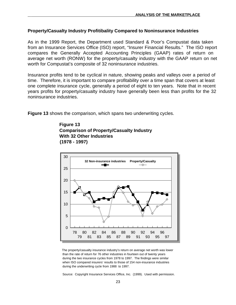#### **Property/Casualty Industry Profitibality Compared to Noninsurance Industries**

As in the 1999 Report, the Department used Standard & Poor's Compustat data taken from an Insurance Services Office (ISO) report, "Insurer Financial Results." The ISO report compares the Generally Accepted Accounting Principles (GAAP) rates of return on average net worth (RONW) for the property/casualty industry with the GAAP return on net worth for Compustat's composite of 32 noninsurance industries.

Insurance profits tend to be cyclical in nature, showing peaks and valleys over a period of time. Therefore, it is important to compare profitability over a time span that covers at least one complete insurance cycle, generally a period of eight to ten years. Note that in recent years profits for property/casualty industry have generally been less than profits for the 32 noninsurance industries.

**Figure 13** shows the comparison, which spans two underwriting cycles.

 **Figure 13 Comparison of Property/Casualty Industry With 32 Other Industries (1978 - 1997)**



 The property/casualty insurance industry's return on average net worth was lower than the rate of return for 76 other industries in fourteen out of twenty years during the two insurance cycles from 1978 to 1997. The findings were similar when ISO compared insurers' results to those of 154 non-insurance industries during the underwriting cycle from 1988 to 1997.

Source: Copyright Insurance Services Office, Inc. (1999). Used with permission.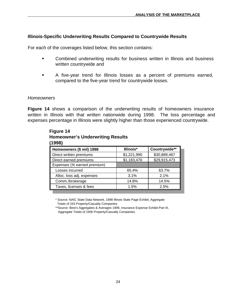# **Illinois-Specific Underwriting Results Compared to Countrywide Results**

For each of the coverages listed below, this section contains:

- Combined underwriting results for business written in Illinois and business written countrywide and
- w A five-year trend for Illinois losses as a percent of premiums earned, compared to the five-year trend for countrywide losses.

#### *Homeowners*

**Figure 14** shows a comparison of the underwriting results of homeowners insurance written in Illinois with that written nationwide during 1998. The loss percentage and expenses percentage in Illinois were slightly higher than those experienced countrywide.

| Homeowners (\$ mil) 1998    | Illinois*   | Countrywide** |
|-----------------------------|-------------|---------------|
| Direct written premiums     | \$1,221,990 | \$30,889,467  |
| Direct earned premiums      | \$1,183,476 | \$29,915,473  |
| Expenses (% earned premium) |             |               |
| Losses incurred             | 65.4%       | 63.7%         |
| Alloc. loss adj. expenses   | 3.1%        | 2.1%          |
| Comm./brokerage             | 14.8%       | 14.5%         |
| Taxes, licenses & fees      | 1.5%        | 2.5%          |

# **Figure 14 Homeowner's Underwriting Results**

\* Source: NAIC State Data Network, 1998 Illinois State Page Exhibit, Aggregate Totals of 243 Property/Casualty Companies.

\*\*Source: Best's Aggregates & Averages 1999, Insurance Expense Exhibit Part III, Aggregate Totals of 2406 Property/Casualty Companies.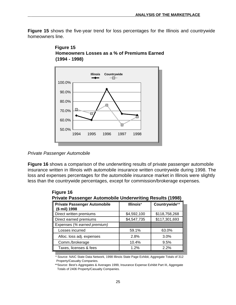**Figure 15** shows the five-year trend for loss percentages for the Illinois and countrywide homeowners line.





**Figure 16** shows a comparison of the underwriting results of private passenger automobile insurance written in Illinois with automobile insurance written countrywide during 1998. The loss and expenses percentages for the automobile insurance market in Illinois were slightly less than the countrywide percentages, except for commission/brokerage expenses.

| Countrywide**<br><b>Private Passenger Automobile</b><br>Illinois*<br>(\$ mil) 1998 |             |               |  |  |
|------------------------------------------------------------------------------------|-------------|---------------|--|--|
| Direct written premiums                                                            | \$4,592,100 | \$118,758,268 |  |  |
| Direct earned premiums                                                             | \$4,547,735 | \$117,301,693 |  |  |
| Expenses (% earned premium)                                                        |             |               |  |  |
| Losses incurred                                                                    | 59.1%       | 63.0%         |  |  |
| Alloc. loss adj. expenses                                                          | 2.8%        | 3.0%          |  |  |
| Comm./brokerage                                                                    | 10.4%       | 9.5%          |  |  |
| Taxes, licenses & fees                                                             | 1.2%        | 2.2%          |  |  |

<sup>\*</sup> Source: NAIC State Data Network, 1998 Illinois State Page Exhibit, Aggregate Totals of 312 Property/Casualty Companies.

*Private Passenger Automobile*

<sup>\*\*</sup>Source: Best's Aggregates & Averages 1999, Insurance Expense Exhibit Part III, Aggregate Totals of 2406 Property/Casualty Companies.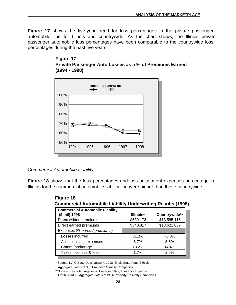**Figure 17** shows the five-year trend for loss percentages in the private passenger automobile line for Illinois and countrywide. As the chart shows, the Illinois private passenger automobile loss percentages have been comparable to the countrywide loss percentages during the past five years.

#### **Figure 17 Private Passenger Auto Losses as a % of Premiums Earned (1994 - 1998)**



*Commercial Automobile Liability*

**Figure 18** shows that the loss percentages and loss adjustment expenses percentage in Illinois for the commercial automobile liability line were higher than those countrywide.

| Commercial Automobile Liability Underwriting Results (1996) |           |               |  |  |  |
|-------------------------------------------------------------|-----------|---------------|--|--|--|
| <b>Commercial Automobile Liability</b><br>(\$ mil) 1998     | Illinois* | Countrywide** |  |  |  |
| Direct written premiums                                     | \$539,173 | \$13,585,116  |  |  |  |
| Direct earned premiums                                      | \$540,817 | \$13,621,037  |  |  |  |
| Expenses (% earned premiums)                                |           |               |  |  |  |
| Losses incurred                                             | 81.2%     | 76.3%         |  |  |  |
| Alloc. loss adj. expenses                                   | 6.7%      | 5.5%          |  |  |  |
| Comm./brokerage                                             | 13.2%     | 14.4%         |  |  |  |
| Taxes, licenses & fees                                      | 1.7%      | 2.5%          |  |  |  |

 **Figure 18 Commercial Automobile Liability Underwriting Results (1998)**

\* Source: NAIC State Data Network, 1998 Illinois State Page Exhibit,

Aggregate Totals of 336 Property/Casualty Companies.

<sup>\*\*</sup>Source: Best's Aggregates & Averages 1999, Insurance Expense Exhibit Part III, Aggregate Totals of 2406 Property/Casualty Companies.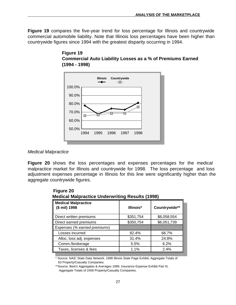**Figure 19** compares the five-year trend for loss percentage for Illinois and countrywide commercial automobile liability. Note that Illinois loss percentages have been higher than countrywide figures since 1994 with the greatest disparity occurring in 1994.





#### *Medical Malpractice*

**Figure 20** shows the loss percentages and expenses percentages for the medical malpractice market for Illinois and countrywide for 1998. The loss percentage and loss adjustment expenses percentage in Illinois for this line were significantly higher than the aggregate countrywide figures.

| <b>Medical Malpractice Underwriting Results (1998)</b> |           |               |  |
|--------------------------------------------------------|-----------|---------------|--|
| <b>Medical Malpractice</b><br>(\$ mil) 1998            | Illinois* | Countrywide** |  |
| Direct written premiums                                | \$351,754 | \$6,058,554   |  |
| Direct earned premiums                                 | \$350,754 | \$6,051,739   |  |
| Expenses (% earned premiums)                           |           |               |  |
| Losses incurred                                        | 82.4%     | 66.7%         |  |
| Alloc. loss adj. expenses                              | 31.4%     | 24.8%         |  |
| Comm./brokerage                                        | 5.5%      | 6.2%          |  |
| Taxes, licenses & fees                                 | 1.1%      | 2.4%          |  |

# **Figure 20**

\* Source: NAIC State Data Network, 1998 Illinois State Page Exhibit, Aggregate Totals of 63 Property/Casualty Companies.

<sup>\*\*</sup>Source: Best's Aggregates & Averages 1999, Insurance Expense Exhibit Part III, Aggregate Totals of 2406 Property/Casualty Companies.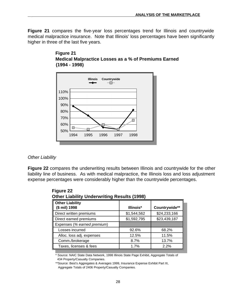**Figure 21** compares the five-year loss percentages trend for Illinois and countrywide medical malpractice insurance. Note that Illinois' loss percentages have been significantly higher in three of the last five years.





#### *Other Liability*

**Figure 22** compares the underwriting results between Illinois and countrywide for the other liability line of business. As with medical malpractice, the Illinois loss and loss adjustment expense percentages were considerably higher than the countrywide percentages.

| <b>Other Liability</b><br>(\$ mil) 1998 | Illinois*   | Countrywide** |
|-----------------------------------------|-------------|---------------|
| Direct written premiums                 | \$1,544,562 | \$24,233,166  |
| Direct earned premiums                  | \$1,592,795 | \$23,439,187  |
| Expenses (% earned premium)             |             |               |
| Losses incurred                         | 92.6%       | 68.2%         |
| Alloc. loss adj. expenses               | 12.5%       | 11.5%         |
| Comm./brokerage                         | 8.7%        | 13.7%         |
| Taxes, licenses & fees                  | 1.7%        | 2.2%          |

 **Figure 22 Other Liability Underwriting Results (1998)**

\* Source: NAIC State Data Network, 1998 Illinois State Page Exhibit, Aggregate Totals of 434 Property/Casualty Companies.

\*\*Source: Best's Aggregates & Averages 1999, Insurance Expense Exhibit Part III, Aggregate Totals of 2406 Property/Casualty Companies.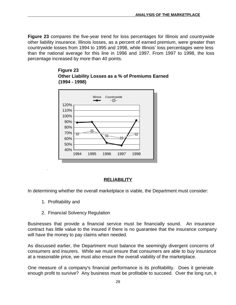**Figure 23** compares the five-year trend for loss percentages for Illinois and countrywide other liability insurance. Illinois losses, as a percent of earned premium, were greater than countrywide losses from 1994 to 1995 and 1998, while Illinois' loss percentages were less than the national average for this line in 1996 and 1997. From 1997 to 1998, the loss percentage increased by more than 40 points.





## **RELIABILITY**

In determining whether the overall marketplace is viable, the Department must consider:

1. Profitability and

.

2. Financial Solvency Regulation

Businesses that provide a financial service must be financially sound. An insurance contract has little value to the insured if there is no guarantee that the insurance company will have the money to pay claims when needed.

As discussed earlier, the Department must balance the seemingly divergent concerns of consumers and insurers. While we must ensure that consumers are able to buy insurance at a reasonable price, we must also ensure the overall viability of the marketplace.

One measure of a company's financial performance is its profitability. Does it generate enough profit to survive? Any business must be profitable to succeed. Over the long run, it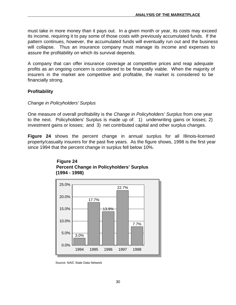must take in more money than it pays out. In a given month or year, its costs may exceed its income, requiring it to pay some of those costs with previously accumulated funds. If the pattern continues, however, the accumulated funds will eventually run out and the business will collapse. Thus an insurance company must manage its income and expenses to assure the profitability on which its survival depends.

A company that can offer insurance coverage at competitive prices and reap adequate profits as an ongoing concern is considered to be financially viable. When the majority of insurers in the market are competitive and profitable, the market is considered to be financially strong.

#### **Profitability**

#### *Change in Policyholders' Surplus*

One measure of overall profitability is the *Change in Policyholders' Surplus* from one year to the next. Policyholders' Surplus is made up of: 1) underwriting gains or losses; 2) investment gains or losses; and 3) net contributed capital and other surplus changes.

**Figure 24** shows the percent change in annual surplus for all Illinois-licensed property/casualty insurers for the past five years. As the figure shows, 1998 is the first year since 1994 that the percent change in surplus fell below 10%.



## **Figure 24 Percent Change in Policyholders' Surplus (1994 - 1998)**

Source: NAIC State Data Network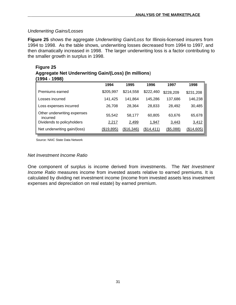### *Underwriting Gains/Losses*

**Figure 25** shows the aggregate *Underwriting Gain/Loss* for Illinois-licensed insurers from 1994 to 1998. As the table shows, underwriting losses decreased from 1994 to 1997, and then dramatically increased in 1998. The larger underwriting loss is a factor contributing to the smaller growth in surplus in 1998.

#### **Figure 25 Aggregate Net Underwriting Gain/(Loss) (In millions**) **(1994 - 1998)**

| 1 J J T<br>וטטטו                        |                   |                   |                   |                  |            |
|-----------------------------------------|-------------------|-------------------|-------------------|------------------|------------|
|                                         | 1994              | 1995              | 1996              | 1997             | 1998       |
| Premiums earned                         | \$205,997         | \$214,558         | \$222,460         | \$228,209        | \$231,208  |
| Losses incurred                         | 141,425           | 141.864           | 145.286           | 137,686          | 146,238    |
| Loss expenses incurred                  | 26,708            | 28.364            | 28,833            | 28.492           | 30,485     |
| Other underwriting expenses<br>incurred | 55,542            | 58,177            | 60,805            | 63,676           | 65,678     |
| Dividends to policyholders              | 2,217             | 2,499             | 1,947             | <u>3,443</u>     | 3,412      |
| Net underwriting gain/(loss)            | <u>(\$19,895)</u> | <u>(\$16,346)</u> | <u>(\$14,411)</u> | <u>(\$5,088)</u> | (\$14,605) |

Source: NAIC State Data Network

#### *Net Investment Income Ratio*

One component of surplus is income derived from investments. The *Net Investment Income Ratio* measures income from invested assets relative to earned premiums. It is calculated by dividing net investment income (income from invested assets less investment expenses and depreciation on real estate) by earned premium.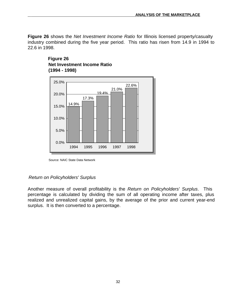**Figure 26** shows the *Net Investment Income Ratio* for Illinois licensed property/casualty industry combined during the five year period. This ratio has risen from 14.9 in 1994 to 22.6 in 1998.



## **Figure 26 Net Investment Income Ratio (1994 - 1998)**

#### *Return on Policyholders' Surplus*

Another measure of overall profitability is the *Return on Policyholders' Surplus*. This percentage is calculated by dividing the sum of all operating income after taxes, plus realized and unrealized capital gains, by the average of the prior and current year-end surplus. It is then converted to a percentage.

Source: NAIC State Data Network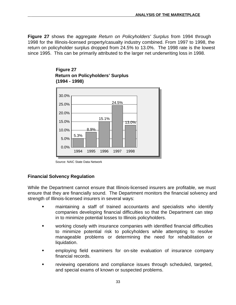**Figure 27** shows the aggregate *Return on Policyholders' Surplus* from 1994 through 1998 for the Illinois-licensed property/casualty industry combined. From 1997 to 1998, the return on policyholder surplus dropped from 24.5% to 13.0%. The 1998 rate is the lowest since 1995. This can be primarily attributed to the larger net underwriting loss in 1998.



## **Figure 27 Return on Policyholders' Surplus (1994 - 1998)**

## **Financial Solvency Regulation**

While the Department cannot ensure that Illinois-licensed insurers are profitable, we must ensure that they are financially sound. The Department monitors the financial solvency and strength of Illinois-licensed insurers in several ways:

- maintaining a staff of trained accountants and specialists who identify companies developing financial difficulties so that the Department can step in to minimize potential losses to Illinois policyholders.
- w working closely with insurance companies with identified financial difficulties to minimize potential risk to policyholders while attempting to resolve manageable problems or determining the need for rehabilitation or liquidation.
- employing field examiners for on-site evaluation of insurance company financial records.
- reviewing operations and compliance issues through scheduled, targeted, and special exams of known or suspected problems.

Source: NAIC State Data Network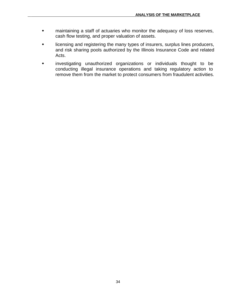- w maintaining a staff of actuaries who monitor the adequacy of loss reserves, cash flow testing, and proper valuation of assets.
- licensing and registering the many types of insurers, surplus lines producers, and risk sharing pools authorized by the Illinois Insurance Code and related Acts.
- w investigating unauthorized organizations or individuals thought to be conducting illegal insurance operations and taking regulatory action to remove them from the market to protect consumers from fraudulent activities.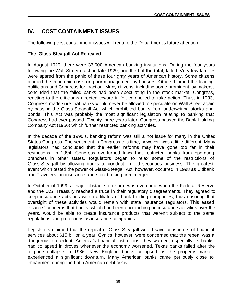# **IV. COST CONTAINMENT ISSUES**

The following cost containment issues will require the Department's future attention:

## **The Glass-Steagall Act Repealed**

In August 1929, there were 33,000 American banking institutions. During the four years following the Wall Street crash in late 1929, one-third of the total, failed. Very few families were spared from the panic of these four gray years of American history. Some citizens blamed the economic crisis on poor management by bankers. Others blamed the leading politicians and Congress for inaction. Many citizens, including some prominent lawmakers, concluded that the failed banks had been speculating in the stock market. Congress, reacting to the criticisms directed toward it, felt compelled to take action. Thus, in 1933, Congress made sure that banks would never be allowed to speculate on Wall Street again by passing the Glass-Steagall Act which prohibited banks from underwriting stocks and bonds. This Act was probably the most significant legislation relating to banking that Congress had ever passed. Twenty-three years later, Congress passed the Bank Holding Company Act (1956) which further restricted banking activities.

In the decade of the 1990's, banking reform was still a hot issue for many in the United States Congress. The sentiment in Congress this time, however, was a little different. Many legislators had concluded that the earlier reforms may have gone too far in their restrictions. In 1994, Congress overturned laws that restricted banks from operating branches in other states. Regulators began to relax some of the restrictions of Glass-Steagall by allowing banks to conduct limited securities business. The greatest event which tested the power of Glass-Steagall Act, however, occurred in 1998 as Citibank and Travelers, an insurance-and-stockbroking firm, merged.

In October of 1999, a major obstacle to reform was overcome when the Federal Reserve and the U.S. Treasury reached a truce in their regulatory disagreements. They agreed to keep insurance activities within affiliates of bank holding companies, thus ensuring that oversight of these activities would remain with state insurance regulators. This eased insurers' concerns that banks, which had been encroaching on insurance activities over the years, would be able to create insurance products that weren't subject to the same regulations and protections as insurance companies.

Legislators claimed that the repeal of Glass-Steagall would save consumers of financial services about \$15 billion a year. Cynics, however, were concerned that the repeal was a dangerous precedent. America's financial institutions, they warned, especially its banks had collapsed in droves whenever the economy worsened. Texas banks failed after the oil-price collapse in 1986. New England banks collapsed as the property market experienced a significant downturn. Many American banks came perilously close to impairment during the Latin American debt crisis.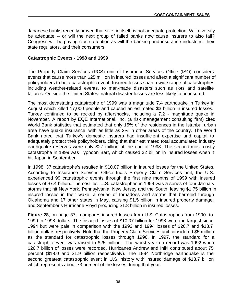Japanese banks recently proved that size, in itself, is not adequate protection. Will diversity be adequate -- or will the next group of failed banks now cause insurers to also fail? Congress will be paying close attention as will the banking and insurance industries, their state regulators, and their consumers.

#### **Catastrophic Events - 1998 and 1999**

The Property Claim Services (PCS) unit of Insurance Services Office (ISO) considers events that cause more than \$25 million in insured losses and affect a significant number of policyholders to be a catastrophic event. Insured losses span a wide range of catastrophes including weather-related events, to man-made disasters such as riots and satellite failures. Outside the United States, natural disaster losses are less likely to be insured.

The most devastating catastrophe of 1999 was a magnitude 7.4 earthquake in Turkey in August which killed 17,000 people and caused an estimated \$3 billion in insured losses. Turkey continued to be rocked by aftershocks, including a 7.2 - magnitude quake in November. A report by EQE International, Inc. (a risk management consulting firm) cited World Bank statistics that estimated that only 15% of the residences in the Istanbul urban area have quake insurance, with as little as 2% in other areas of the country. The World Bank noted that Turkey's domestic insurers had insufficient expertise and capital to adequately protect their policyholders, citing that their estimated total accumulated industry earthquake reserves were only \$27 million at the end of 1998. The second-most costly catastrophe in 1999 was Typhoon Bart, which caused \$2 billion in insured losses when it hit Japan in September.

In 1998, 37 catastrophe's resulted in \$10.07 billion in insured losses for the United States. According to Insurance Services Office Inc.'s Property Claim Services unit, the U.S. experienced 99 catastrophic events through the first nine months of 1999 with insured losses of \$7.4 billion. The costliest U.S. catastrophes in 1999 was a series of four January storms that hit New York, Pennsylvania, New Jersey and the South, leaving \$1.75 billion in insured losses in their wake; a series of tornadoes and storms that barreled through Oklahoma and 17 other states in May, causing \$1.5 billion in insured property damage; and September's Hurricane Floyd producing \$1.8 billion in insured losses.

**Figure 28**, on page 37, compares insured losses from U.S. Catastrophes from 1990 to 1999 in 1998 dollars. The insured losses of \$10.07 billion for 1998 were the largest since 1994 but were pale in comparison with the 1992 and 1994 losses of \$26.7 and \$18.7 billion dollars respectively. Note that the Property Claim Services unit considered \$5 million as the standard for catastrophic losses through 1996. In 1997, the standard for a catastrophic event was raised to \$25 million. The worst year on record was 1992 when \$26.7 billion of losses were recorded. Hurricanes Andrew and Iniki contributed about 75 percent (\$18.0 and \$1.9 billion respectively). The 1994 Northridge earthquake is the second greatest catastrophic event in U.S. history with insured damage of \$13.7 billion which represents about 73 percent of the losses during that year.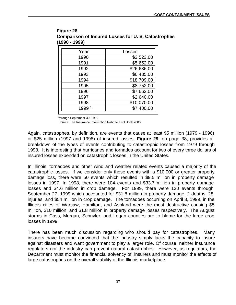| Year | Losses      |
|------|-------------|
| 1990 | \$3,523.00  |
| 1991 | \$5,652.00  |
| 1992 | \$26,686.00 |
| 1993 | \$6,435.00  |
| 1994 | \$18,709.00 |
| 1995 | \$8,752.00  |
| 1996 | \$7,662.00  |
| 1997 | \$2,640.00  |
| 1998 | \$10,070.00 |
| 1999 | \$7,400.00  |
|      |             |

**Figure 28 Comparison of Insured Losses for U. S. Catastrophes (1990 - 1999)**

1 through September 30, 1999

Source: The Insurance Information Institute Fact Book 2000

Again, catastrophes, by definition, are events that cause at least \$5 million (1979 - 1996) or \$25 million (1997 and 1998) of insured losses. **Figure 29**, on page 38, provides a breakdown of the types of events contributing to catastrophic losses from 1979 through 1998. It is interesting that hurricanes and tornados account for two of every three dollars of insured losses expended on catastrophic losses in the United States.

In Illinois, tornadoes and other wind and weather related events caused a majority of the catastrophic losses. If we consider only those events with a \$10,000 or greater property damage loss, there were 50 events which resulted in \$9.5 million in property damage losses in 1997. In 1998, there were 104 events and \$33.7 million in property damage losses and \$4.6 million in crop damage. For 1999, there were 120 events through September 27, 1999 which accounted for \$31.8 million in property damage, 2 deaths, 28 injuries, and \$54 million in crop damage. The tornadoes occurring on April 8, 1999, in the Illinois cities of Warsaw, Hamilton, and Ashland were the most destructive causing \$5 million, \$10 million, and \$1.8 million in property damage losses respectively. The August storms in Cass, Morgan, Schuyler, and Logan counties are to blame for the large crop losses in 1999.

There has been much discussion regarding who should pay for catastrophes. Many insurers have become convinced that the industry simply lacks the capacity to insure against disasters and want government to play a larger role. Of course, neither insurance regulators nor the industry can prevent natural catastrophes. However, as regulators, the Department must monitor the financial solvency of insurers and must monitor the effects of large catastrophes on the overall viability of the Illinois marketplace.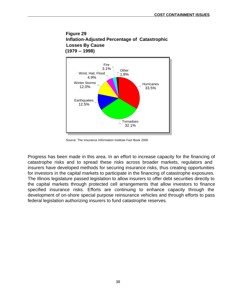# **Figure 29 Inflation-Adjusted Percentage of Catastrophic Losses By Cause (1979 -- 1998)**



Source: The Insurance Information Institute Fact Book 2000

Progress has been made in this area. In an effort to increase capacity for the financing of catastrophe risks and to spread these risks across broader markets, regulators and insurers have developed methods for securing insurance risks, thus creating opportunities for investors in the capital markets to participate in the financing of catastrophe exposures. The Illinois legislature passed legislation to allow insurers to offer debt securities directly to the capital markets through protected cell arrangements that allow investors to finance specified insurance risks. Efforts are continuing to enhance capacity through the development of on-shore special purpose reinsurance vehicles and through efforts to pass federal legislation authorizing insurers to fund catastrophe reserves.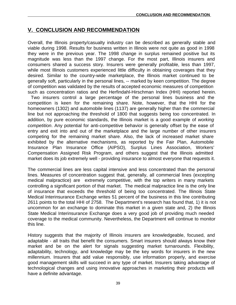# **V. CONCLUSION AND RECOMMENDATION**

Overall, the Illinois property/casualty industry can be described as generally stable and viable during 1998. Results for business written in Illinois were not quite as good in 1998 they were in the previous year. The 1998 change in surplus remained positive but its magnitude was less than the 1997 change. For the most part, Illinois insurers and consumers shared a success story. Insurers were generally profitable, less than 1997, while most Illinois customers experienced little difficulty in obtaining coverages that they desired. Similar to the country-wide marketplace, the Illinois market continued to be generally soft, particularly in the personal lines, -- marked by keen competition. The degree of competition was validated by the results of accepted economic measures of competition such as concentration ratios and the Herfindahl-Hirschman Index (HHI) reported herein.

Two insurers control a large percentage of the personal lines business and the competition is keen for the remaining share. Note, however, that the HHI for the homeowners (1302) and automobile lines (1137) are generally higher than the commercial line but not approaching the threshold of 1800 that suggests being too concentrated. In addition, by pure economic standards, the Illinois market is a good example of *working competition*. Any potential for anti-competitive behavior is generally offset by the ease of entry and exit into and out of the marketplace and the large number of other insurers competing for the remaining market share. Also, the lack of increased market share exhibited by the alternative mechanisms, as reported by the Fair Plan, Automobile Insurance Plan Insurance Office (AIPSO), Surplus Lines Association, Workers' Compensation Assigned Risk Program, and others suggest that the Illinois admitted market does its job extremely well - providing insurance to almost everyone that requests it.

The commercial lines are less capital intensive and less concentrated than the personal lines. Measures of concentration suggest that, generally, all commercial lines (excepting medical malpractice) are extremely competitive, with the top writers in many markets controlling a significant portion of that market. The medical malpractice line is the only line of insurance that exceeds the threshold of being too concentrated. The Illinois State Medical Interinsurance Exchange writes 51 percent of the business in this line contributing 2611 points to the total HHI of 2758. The Department's research has found that, 1) it is not uncommon for an exchange to dominate this market in a given state and, 2) the Illinois State Medical Interinsurance Exchange does a very good job of providing much needed coverage to the medical community. Nevertheless, the Department will continue to monitor this line.

History suggests that the majority of Illinois insurers are knowledgeable, focused, and adaptable - all traits that benefit the consumers. Smart insurers should always know their market and be on the alert for signals suggesting market turnarounds. Flexibility, adaptability, technology, and knowledge may be the key words for insurers in the new millennium. Insurers that add value responsibly, use information properly, and exercise good management skills will succeed in any type of market. Insurers taking advantage of technological changes and using innovative approaches in marketing their products will have a definite advantage.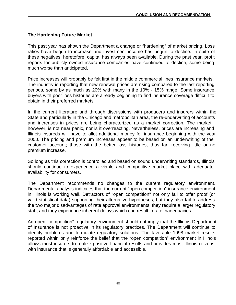## **The Hardening Future Market**

This past year has shown the Department a change or "hardening" of market pricing. Loss ratios have begun to increase and investment income has begun to decline. In spite of these negatives, heretofore, capital has always been available. During the past year, profit reports for publicly owned insurance companies have continued to decline, some being much worse than anticipated.

Price increases will probably be felt first in the middle commercial lines insurance markets. The industry is reporting that new renewal prices are rising compared to the last reporting periods, some by as much as 20% with many in the 10% - 15% range. Some insurance buyers with poor loss histories are already beginning to find insurance coverage difficult to obtain in their preferred markets.

In the current literature and through discussions with producers and insurers within the State and particularly in the Chicago and metropolitan area, the re-underwriting of accounts and increases in prices are being characterized as a market correction. The market, however, is not near panic, nor is it overreacting. Nevertheless, prices are increasing and Illinois insureds will have to allot additional money for insurance beginning with the year 2000. The pricing and premium increases appear to be based on an underwriting of the customer account; those with the better loss histories, thus far, receiving little or no premium increase.

So long as this correction is controlled and based on sound underwriting standards, Illinois should continue to experience a viable and competitive market place with adequate availability for consumers.

The Department recommends no changes to the current regulatory environment. Departmental analysis indicates that the current "open competition" insurance environment in Illinois is working well. Detractors of "open competition" not only fail to offer proof (or valid statistical data) supporting their alternative hypotheses, but they also fail to address the two major disadvantages of rate approval environments: they require a larger regulatory staff; and they experience inherent delays which can result in rate inadequacies.

An open "competition" regulatory environment should not imply that the Illinois Department of Insurance is not proactive in its regulatory practices. The Department will continue to identify problems and formulate regulatory solutions. The favorable 1998 market results reported within only reinforce the belief that the "open competition" environment in Illinois allows most insurers to realize positive financial results and provides most Illinois citizens with insurance that is generally affordable and accessible.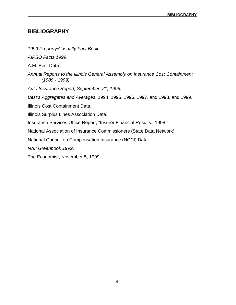# **BIBLIOGRAPHY**

*1999 Property/Casualty Fact Book*.

*AIPSO Facts 1999*.

A.M. Best Data.

*Annual Reports to the Illinois General Assembly on Insurance Cost Containment (1989 - 1999).*

*Auto Insurance Report, September, 21, 1998.*

*Best's Aggregates and Averages***,** 1994, 1995, 1996, 1997, and 1998, and 1999.

Illinois Cost Containment Data.

Illinois Surplus Lines Association Data.

Insurance Services Office Report, "Insurer Financial Results: 1998."

National Association of Insurance Commissioners (State Data Network).

National Council on Compensation Insurance (NCCI) Data.

*NAII Greenbook 1999*.

The Economist, November 5, 1999.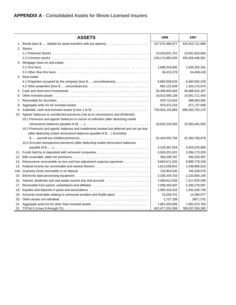|     | <b>ASSETS</b>                                                                           | 1998            | 1997            |
|-----|-----------------------------------------------------------------------------------------|-----------------|-----------------|
|     |                                                                                         | 427,575,486,977 | 425,910,721,889 |
|     | 2. Stocks:                                                                              |                 |                 |
|     |                                                                                         | 10,034,841,751  | 10,931,815,064  |
|     |                                                                                         | 226,174,860,039 | 205,829,446,561 |
|     | 3. Mortgage loans on real estate:                                                       |                 |                 |
|     |                                                                                         | 1,688,343,850   | 1,935,332,341   |
|     |                                                                                         | 36,415,378      | 54,458,418      |
|     | 4. Real estate:                                                                         |                 |                 |
|     | 4.1 Properties occupied by the company (less \$encumbrances).                           | 6,666,508,533   | 6,460,562,229   |
|     |                                                                                         | 862,122,639     | 1,320,170,970   |
|     |                                                                                         | 35,398,909,584  | 30,888,912,287  |
|     |                                                                                         | 16,523,566,136  | 14,061,711,403  |
|     |                                                                                         | 976,713,643     | 998,883,945     |
|     |                                                                                         | 978,374,154     | 871,737,068     |
|     |                                                                                         | 726,916,142,669 | 699,263,752,175 |
|     | 10. Agents' balances or uncollected premiums (net as to commissions and dividends):     |                 |                 |
|     | 10.1 Premiums and agents' balances in course of collection (after deducting ceded       |                 |                 |
|     |                                                                                         | 16,632,233,583  | 15,693,461,650  |
|     | 10.2 Premiums and agents' balances and installments booked but deferred and not yet due |                 |                 |
|     | (after deducting ceded reinsurance balances payable of \$) (including                   |                 |                 |
|     |                                                                                         | 32,444,554,756  | 32,340,766,878  |
|     | 10.3 Accrued retrospective premiums (after deducting ceded reinsurance balances         |                 |                 |
|     |                                                                                         | 4,228,387,628   | 4,554,370,885   |
|     | 11. Funds held by or deposited with reinsured companies                                 | 3,926,201,931   | 3,394,173,029   |
| 12. |                                                                                         | 506,208,787     | 490,333,487     |
| 13. | Reinsurance recoverable on loss and loss adjustment expense payments                    | 9,683,671,032   | 8,995,778,226   |
|     | 14. Federal income tax recoverable and interest thereon                                 | 1,613,036,931   | 1,038,806,523   |
|     |                                                                                         | 129,954,530     | 145,428,578     |
|     |                                                                                         | 2,336,204,703   | 2,103,605,145   |
| 16. | Interest, dividends and real estate income due and accrued                              | 7,089,912,556   | 7,217,875,049   |
|     |                                                                                         | 7,098,356,087   | 5,260,276,087   |
| 18. |                                                                                         | 1,985,416,433   | 1,932,540,748   |
|     | 19. Amounts receivable relating to uninsured accident and health plans                  | 24,208,701      | 14,380,077      |
|     |                                                                                         | 1,727,338       | (967, 170)      |
|     | 21. Aggregate write-ins for other than invested assets                                  | 7,861,035,699   | 7,092,973,763   |
|     |                                                                                         | 822,477,253,358 | 789,537,555,280 |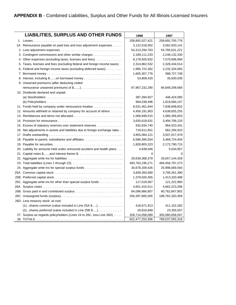| <b>LIABILITIES, SURPLUS AND OTHER FUNDS</b>                                 | 1998            | 1997            |
|-----------------------------------------------------------------------------|-----------------|-----------------|
|                                                                             | 258,892,027,421 | 259,692,705,776 |
| 1A. Reinsurance payable on paid loss and loss adjustment expenses           | 3,122,518,052   | 3,562,920,141   |
|                                                                             | 54,313,294,763  | 54,785,631,221  |
| 3. Contingent commissions and other similar charges                         | 2,189,111,233   | 2,248,132,330   |
| 4. Other expenses (excluding taxes, licenses and fees)                      | 8,178,926,932   | 7,570,696,994   |
| 5. Taxes, licenses and fees (excluding federal and foreign income taxes).   | 2,314,862,532   | 2,328,434,514   |
| 6. Federal and foreign income taxes (excluding deferred taxes)              | 1,985,722,362   | 2,232,334,083   |
|                                                                             | 1,605,307,776   | 588,727,748     |
|                                                                             | 53,808,420      | 35,830,036      |
| 9. Unearned premiums (after deducting ceded                                 |                 |                 |
|                                                                             | 97,967,232,290  | 94,849,299,069  |
| 10. Dividends declared and unpaid:                                          |                 |                 |
|                                                                             | 387,394,927     | 446,424,090     |
|                                                                             | 994,039,496     | 1,619,584,157   |
| 11. Funds held by company under reinsurance treaties                        | 8,531,451,644   | 7,838,848,832   |
| 12. Amounts withheld or retained by company for account of others           | 4,456,191,903   | 4,638,655,255   |
|                                                                             | 1,568,948,515   | 1,085,356,653   |
|                                                                             | 3,635,618,631   | 3,494,706,120   |
| 15. Excess of statutory reserves over statement reserves                    | 932,834,740     | 964,523,341     |
| 16. Net adjustments in assets and liabilities due to foreign exchange rates | 719,611,651     | 662,294,910     |
|                                                                             | 3,855,084,121   | 3,507,017,478   |
|                                                                             | 6,586,395,554   | 3,469,724,404   |
|                                                                             | 1,828,805,323   | 2,172,790,715   |
| 20. Liability for amounts held under uninsured accident and health plans    | 4,638,646       | 5,034,957       |
| 21. Capital notes \$and interest theron \$                                  | $\Omega$        | 0               |
| 22. Aggregate write-ins for liabilities                                     | 29,639,368,379  | 26,657,144,428  |
|                                                                             | 493,763,195,271 | 484,456,797,273 |
|                                                                             | 30,678,209,426  | 25,998,069,593  |
|                                                                             | 3,839,350,580   | 3,795,261,390   |
|                                                                             | 1,379,020,455   | 1,413,320,488   |
| 25C. Aggregate write-ins for other than special surplus funds               | 117,019,567     | 121,222,960     |
|                                                                             | 4,651,415,011   | 4,662,223,286   |
|                                                                             | 84,096,866,807  | 80,762,847,802  |
|                                                                             | 204,397,665,005 | 188,762,320,359 |
| 26D. Less treasury stock, at cost:                                          |                 |                 |
|                                                                             | 418,671,913     | 411,152,282     |
| (2)shares preferred (value included in Line 25B \$)                         | 26,816,848      | 23,355,557      |
| 27. Surplus as regards policyholders (Lines 24 to 26C, loss Line 26D)       | 328,714,058,089 | 305,080,658,047 |
|                                                                             | 822,477,253,366 | 789,537,555,318 |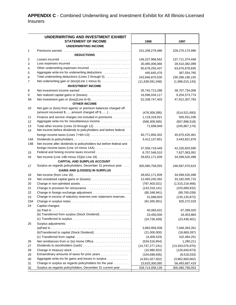**APPENDIX C** - Combined Underwriting and Investment Exhibit for All Illinois-Licensed Insurers

|           | UNDERWRITING AND INVESTMENT EXHIBIT<br><b>STATEMENT OF INCOME</b>                                           | 1998                                | 1997                                |
|-----------|-------------------------------------------------------------------------------------------------------------|-------------------------------------|-------------------------------------|
|           | <b>UNDERWRITING INCOME</b>                                                                                  |                                     |                                     |
| 1         | <b>DEDUCTIONS</b>                                                                                           | 231,208,279,486                     | 228,270,174,996                     |
| 2         |                                                                                                             | 146,237,968,562                     | 137,711,374,448                     |
| 3         |                                                                                                             | 30,485,006,066                      | 28,510,382,099                      |
| 4         | Other underwriting expenses incurred                                                                        | 65,678,250,437                      | 63,676,878,835                      |
| 5         | Aggregate write-ins for underwriting deductions                                                             | 445,645,476                         | 367,554,765                         |
| 6         | Total underwriting deductions (Lines 2 through 5).                                                          | 242,846,870,530                     | 230,266,190,155                     |
| 7         | Net underwriting gain or (loss)(Line 1 minus 6).                                                            | (11,638,591,048)                    | (1,996,015,143)                     |
|           | <b>INVESTMENT INCOME</b>                                                                                    |                                     |                                     |
| 8         | Net investment income earned                                                                                | 35,742,713,288                      | 38,707,734,008                      |
| 9         |                                                                                                             | 16,596,034,117                      | 9,204,573,774                       |
| 9A        | <b>OTHER INCOME</b>                                                                                         | 52,338,747,403                      | 47,912,307,783                      |
| 10        | Net gain or (loss) from agents' or premium balances charged off                                             |                                     |                                     |
|           | (amount recovered \$amount charged off \$)                                                                  | (478, 309, 395)                     | (514, 521, 693)                     |
| 11        | Finance and service charges not included in premiums                                                        | 1,118,318,921                       | 926,551,036                         |
| 12        | Aggregate write-ins for miscellaneous income                                                                | (568, 309, 565)                     | (657, 896, 518)                     |
| 13<br>14  | Total other income (Lines 10 through 12)<br>Net income before dividends to policyholders and before federal | 71,699,949                          | (245, 867, 174)                     |
|           |                                                                                                             | 40,771,856,302                      | 45,670,425,461                      |
| 14A       |                                                                                                             | 3,412,137,851                       | 3,443,821,876                       |
| 14B       | Net income after dividends to policyholders but before federal and                                          |                                     |                                     |
|           |                                                                                                             | 37,359,718,449                      | 42,226,603,590                      |
| 15        |                                                                                                             | 8,707,546,510                       | 7,627,083,091                       |
| 16        | Net income (Line 14B minus 15) (to Line 18)<br><b>CAPITAL AND SURPLUS ACCOUNT</b>                           | 28,652,171,939                      | 34,599,520,498                      |
| 17        | Surplus as regards policyholders, December 31 previous year                                                 | 305,080,758,055                     | 248,587,070,623                     |
|           | <b>GAINS AND (LOSSES) IN SURPLUS</b>                                                                        |                                     |                                     |
| 18        | Net income (from Line 16) $\dots \dots \dots \dots \dots \dots \dots \dots \dots \dots \dots$               | 28,652,171,939                      | 34,599,520,498                      |
| 19        |                                                                                                             | 12,483,240,392                      | 33,182,005,715                      |
| 20        |                                                                                                             | (787, 403, 021)                     | (1,515,218,466)                     |
| 21        |                                                                                                             | (143, 319, 141)                     | (225, 689, 932)                     |
| 22        |                                                                                                             | (80, 348, 941)                      | (89, 765, 039)                      |
| 23        | Change in excess of statutory reserves over statement reserves.                                             | 31,688,603                          | (135, 135, 872)                     |
| 23A<br>24 | Capital changes:                                                                                            | (91, 565, 901)                      | 925,272,018                         |
|           |                                                                                                             | 40,065,631                          | 67,289,020                          |
|           | (b) Transferred from surplus (Stock Dividend)                                                               | 23,450,000                          | 18,453,883                          |
|           |                                                                                                             | (24, 726, 439)                      | (23, 436, 401)                      |
| 25        | Surplus adjustments:                                                                                        |                                     |                                     |
|           |                                                                                                             | 3,883,956,938                       | 7,046,393,351                       |
|           |                                                                                                             | (21,000,000)                        | (18, 869, 287)                      |
|           |                                                                                                             | (4,408,533)<br>(534, 516, 854)      | 102,484,251<br>1,280,211            |
| 26        |                                                                                                             |                                     |                                     |
| 27<br>28  |                                                                                                             | (14, 747, 277, 241)<br>(10,980,922) | (13,343,076,970)<br>(126, 640, 873) |
| 29        | Extraordinary amounts of taxes for prior years                                                              | (104, 698, 935)                     | (8,518,033)                         |
| 30        | Aggregate write-ins for gains and losses in surplus                                                         | (4,931,027,502)                     | (3,962,660,662)                     |
| 31        | Change in surplus as regards policyholders for the year                                                     | 23,633,300,085                      | 56,493,687,419                      |
| 32        | Surplus as regards policyholders, December 31 current year                                                  | 328,714,058,139                     | 305,080,758,053                     |
|           |                                                                                                             |                                     |                                     |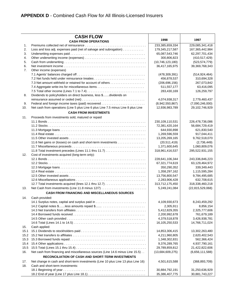|          | <b>CASH FLOW</b>                                                                  |                                 |                                |
|----------|-----------------------------------------------------------------------------------|---------------------------------|--------------------------------|
|          | <b>CASH FROM OPERATIONS</b>                                                       | 1998                            | 1997                           |
| 1.       |                                                                                   | 233,385,659,334                 | 229,085,341,418                |
| 2.       | Loss and loss adj. expenses paid (net of salvage and subrogation)                 | 179,345,217,587                 | 167,365,442,984                |
| 3.       |                                                                                   | 65,087,543,746                  | 62,297,701,434                 |
| 4.       |                                                                                   | 300,806,823                     | (410, 517, 429)                |
| 5.       |                                                                                   | (10, 746, 123, 180)             | (523, 574, 779)                |
| 6.<br>7. |                                                                                   | 36,417,165,975                  | 39,369,768,343                 |
|          | Other income (expenses)                                                           | (478, 309, 391)                 | (514, 924, 464)                |
|          | 7.2 Net funds held under reinsurance treaties                                     | 456,878,537                     | 310,694,328                    |
|          |                                                                                   | (206, 696, 156)                 | 267,073,842                    |
|          |                                                                                   | 511,557,177                     | 63,416,095                     |
|          |                                                                                   | 283,430,169                     | 126,259,797                    |
| 8.       | Dividends to policyholders on direct business, less \$dividends on                |                                 |                                |
|          |                                                                                   | 4,074,938,317                   | 2,779,460,437                  |
| 9.       |                                                                                   | (8,942,550,867)                 | (7,090,246,000)                |
| 10.      | Net cash from operations (Line 5 plus Line 6 plus Line 7.5 minus Line 8 plus Line | 12,936,983,789                  | 29,102,746,929                 |
|          | <b>CASH FROM INVESTMENTS</b>                                                      |                                 |                                |
| 11.      | Proceeds from investments sold, matured or repaid                                 |                                 |                                |
|          |                                                                                   | 230,109,110,531                 | 226,478,736,086                |
|          |                                                                                   | 72,381,420,164                  | 56,684,729,419                 |
|          |                                                                                   | 644,930,898                     | 621,830,540                    |
|          |                                                                                   | 1,269,596,559                   | 917,044,411                    |
|          |                                                                                   | 13,205,269,165                  | 9,762,518,070                  |
|          | 11.6 Net gains or (losses) on cash and short-term investments                     | (20, 511, 419)                  | (2,736,449)                    |
|          |                                                                                   | 1,371,600,645                   | 1,060,809,076                  |
|          |                                                                                   | 318,961,416,537                 | 295,522,931,155                |
| 12.      | Cost of investments acquired (long-term only):                                    |                                 |                                |
|          |                                                                                   | 228,641,106,344                 | 243,336,846,223                |
|          |                                                                                   | 67,321,774,619                  | 63,129,464,972                 |
|          |                                                                                   | 350,290,352                     | 339,349,443                    |
|          |                                                                                   | 1,358,297,162<br>13,756,800,547 | 1,115,595,284<br>9,784,495,685 |
|          |                                                                                   | 2,283,906,428                   | 632,708,615                    |
|          |                                                                                   | 313,712,175,450                 | 318,338,460,218                |
| 13.      |                                                                                   | 5,249,241,084                   | (22, 815, 529, 068)            |
|          | <b>CASH FROM FINANCING AND MISCELLANEOUS SOURCES</b>                              |                                 |                                |
| 14.      | Cash provided:                                                                    |                                 |                                |
|          |                                                                                   | 4,109,930,673                   | 8,243,459,292                  |
|          |                                                                                   | 2,305,911                       | 8,856,154                      |
|          |                                                                                   | 5,412,829,355                   | 2,325,777,606                  |
|          |                                                                                   | 2,200,992,678                   | 761,679,189                    |
|          |                                                                                   | 4,379,518,878                   | 3,426,938,781                  |
|          |                                                                                   | 16,105,250,533                  | 14,766,711,024                 |
| 15.      | Cash applied:                                                                     |                                 |                                |
| 15.1     |                                                                                   | 14,853,306,415                  | 13,302,263,480                 |
| 15.2     |                                                                                   | 4,211,960,805                   | 2,620,402,543                  |
| 15.3     |                                                                                   | 1,348,302,831                   | 562,366,424                    |
| 15.4     |                                                                                   | 9,376,289,765                   | 4,937,790,161                  |
| 15.5     |                                                                                   | 29,789,859,812                  | 21,422,822,606                 |
| 16.      | Net cash from financing and miscellaneous sources (Line 14.6 minus Line 15.5).    | (13,684,609,275)                | (6,656,111,588)                |
|          | RECONCILIATION OF CASH AND SHORT-TERM INVESTMENTS                                 |                                 |                                |
| 17.      | Net change in cash and short-term investments (Line 10 plus Line 13 plus Line 16) | 4,501,615,588                   | (368, 893, 709)                |
| 18.      | Cash and short-term investments:                                                  |                                 |                                |
|          |                                                                                   | 30,884,792,191                  | 31,250,636,929                 |
|          |                                                                                   | 35,386,407,775                  | 30,881,743,227                 |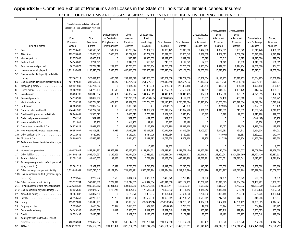# **Appendix E** - Combined Exhibit of Premiums and Losses in the State of Illinois for All Illinois-Licensed Insurers

|                                                                     |                | OF FREMIOMD THUS EQUULUS DOUTHEOU IN THE UTILE OF |                        |               |                      |                      | ,,,,,,,,,,,                |                         | DURING THE TEMP         | 1 <i>10</i>             |               |             |
|---------------------------------------------------------------------|----------------|---------------------------------------------------|------------------------|---------------|----------------------|----------------------|----------------------------|-------------------------|-------------------------|-------------------------|---------------|-------------|
|                                                                     |                |                                                   |                        | 5             | 6                    |                      | 8                          | $\mathsf Q$             | 10 <sup>°</sup>         | 11                      | 12            | 13          |
|                                                                     |                | Gross Premiums, Including Policy and              |                        |               |                      |                      |                            |                         |                         |                         |               |             |
|                                                                     |                | Membership Fees, Less Return Premiums             |                        |               |                      |                      |                            |                         |                         |                         |               |             |
|                                                                     |                | 3                                                 | Dividends Paid         | Direct        | <b>Direct Losses</b> |                      |                            | <b>Direct Allocated</b> | <b>Direct Allocated</b> | <b>Direct Allocated</b> |               |             |
|                                                                     | Direct         | <b>Direct</b>                                     | or Credited to         | Unearned      | Paid                 |                      |                            | Loss                    | Loss<br>Adjustment      | Loss<br>Adjustment      | Commissions   | Taxes,      |
|                                                                     | Premiums       | Premiums                                          | Policyholders on       | Premium       | (deducting           | <b>Direct Losses</b> | <b>Direct Losses</b>       | Adjustment              | Expense                 | Expense                 | and Brokerage | Licenses    |
| Line of Business                                                    | Written        | Earned                                            | <b>Direct Business</b> | Reserves      | salvage)             | Incurred             | Unpaid                     | <b>Expense Paid</b>     | Incurred                | Unpaid                  | Expenses      | and Fees    |
|                                                                     | 151,190,495    | 149,513,671                                       | 599,954                | 65,778,044    | 78,354,387           | 87,933,425           | 70,613,366                 | 2,472,588               | 1,884,395               | 3,605,522               | 18,815,448    | 4,406,399   |
| Allied lines<br>2.1                                                 | 123,774,857    | 123,003,847                                       | 6,086,566              | 35,232,942    | 88,769,380           | 105,649,311          | 56,935,642                 | 2,037,550               | 1,987,317               | 2,737,516               | 20,990,480    | 2,020,198   |
| Multiple peril crop<br>$2.2^{\circ}$                                | 92,857,668     | 92,875,949                                        | $\mathbf{0}$           | 595,397       | 31,830,862           | 39,872,185           | 14,917,818                 | 163,390                 | 160,843                 | 3,678                   | 12,995,626    | 522,366     |
| Federal flood<br>2.3                                                | 14,146,802     | 13,211,291                                        | $\mathbf 0$            | 6,949,856     | 953,623              | 243,760              |                            | 57,888                  | 61,649                  | 16,266                  |               | 131,615     |
| 3.<br>Farmowners multiple peril                                     |                |                                                   |                        |               |                      |                      | 1,119,879                  |                         |                         |                         | 1,610,830     |             |
|                                                                     | 76,194,072     | 75,704,219                                        | 259,663                | 30,758,351    | 59,273,264           | 61,783,368           | 28,285,630                 | 1,358,054               | 1,449,681               | 4,314,954               | 12,066,078    | 464,581     |
| $\overline{4}$ .<br>Homeowners multiple peril                       | 1,221,990,002  | 1,183,475,668                                     | 2,336,766              | 648,448,838   | 763,455,429          | 773,990,816          | 373,131,359                | 21,258,319              | 15,676,258              | 53,985,794              | 175,395,311   | 17,637,366  |
| 5.1<br>Commercial multiple peril (non-liability                     |                |                                                   |                        |               |                      |                      |                            |                         |                         |                         |               |             |
|                                                                     | 527,102,219    | 526,011,487                                       | 600,221                | 249,921,626   | 340,888,667          | 335,652,888          | 249,282,030<br>854,564,023 | 13,382,804              | 12,126,733              | 35,818,909              | 88,584,785    | 10,209,188  |
| 5.2 Commercial multiple peril (liability portion)                   | 401,492,543    | 393,691,026                                       | 131,147                | 180,704,860   | 251,684,591          | 224,019,449          |                            | 78,872,922              | 57,151,675              | 275,835,848             | 67,534,551    | 6,971,097   |
| 6.<br>Mortgage guaranty                                             | 139,521,949    | 145,281,662                                       | $\mathbf{0}$           | 18,034,613    | 26,065,568           | 50,824,600           | 218,492,116                | 543,798                 | 912,800                 | 984,915                 | 1,070,490     | 3,130,131   |
| 8.<br>Ocean marine                                                  | 55,667,993     | 54,776,930                                        | 109,519                | 14,855,917    | 40,304,545           | 46,767,635           | 52,586,790                 | 2,114,201               | 2,641,607               | 4,005,125               | 8,917,824     | 1,135,937   |
| 9.<br>Inland marine $\ldots$ , $\ldots$ , $\ldots$ , $\ldots$       | 323,233,736    | 307,845,294                                       | 695,451                | 147,027,624   | 144,427,511          | 144,415,195          | 101,415,405                | 5,382,792               | 4,987,066               | 5,828,595               | 54,679,315    | 6,454,950   |
| Financial quaranty<br>10.                                           | 54,170,931     | 39,059,137                                        | $\mathbf{0}$           | 233,290,386   | (22, 424, 018)       | (27, 284, 357)       | 11,129,952                 | 73,581                  | 32,488                  | 455,010                 | 194           | 3,299,249   |
| 11. Medical malpractice                                             | 351,754,297    | 350,754,273                                       | 624,406                | 97,929,350    | 273,754,657          | 289,178,133          | 1,228,516,324              | 83,443,284              | 110,257,579             | 350,728,814             | 19,229,824    | 3,721,448   |
| Earthquake<br>12.                                                   | 20,686,530     | 20,332,327                                        | 90,690                 | 10,878,948    | 5,659                | (320, 112)           | 548,050                    | 6,751                   | (32, 398)               | 110,429                 | 2,827,991     | 289,132     |
| Group accident and health<br>13.                                    | 274,481,366    | 257,774,622                                       | $\mathbf{0}$           | 45,536,656    | 194,869,730          | 223,619,234          | 143,924,798                | 1,821,883               | 1,846,583               | 746,559                 | 40,507,340    | 4,219,189   |
| 14. Credit A & H (group and individual)                             | 20,240,481     | 21,520,773                                        | $\mathbf{0}$           | 5,425,217     | 3,705,716            | 3,567,845            | 3,640,464                  | 10,348                  | 5,096                   | 17,351                  | 9,915,976     | 322,557     |
| 15.1 Collectively renewable A & H                                   | 574,198        | 501,927                                           | $\mathbf 0$            | 551,553       | 492,255              | 337,246              | 209,181                    | $\Omega$                | $\Omega$                | 0                       | (380, 287)    | 13,158      |
| 15.2 Non-cancelable A & H                                           | 121,980        | 155,501                                           | 0                      | 914,466       | 32,344               | 20,880               | 198,126                    | $\Omega$                | 0                       | $\mathbf{0}$            | 15,856        | 3,263       |
| 15.3 Guaranteed renewable A & H                                     | 36,879,822     | 24,621,856                                        | $\mathbf 0$            | 67,469,588    | 19,145,396           | 21,209,380           | 22,817,160                 | 148,546                 | 136,097                 | 123,469                 | 3,486,010     | 189,775     |
| 15.4 Non-renewable for stated reasons only.                         | 60,954,407     | 61,401,631                                        | 4,937                  | 17,089,635    | 45,217,687           | 40,371,759           | 34,345,630                 | 2,009,927               | 2,047,983               | 864,242                 | 5,354,504     | 324,011     |
| 15.5 Other accident only                                            | 10,222,631     | 9,420,670                                         | $\mathbf{0}$           | 3,152,077     | 3,434,006            | 3,532,934            | 2,762,163                  | 414                     | (43,094)                | 15,237                  | 6,222,022     | 172,444     |
| 15.6 All other A & H                                                | 39,880,071     | 40,595,835                                        | $\mathbf 0$            | 4,564,800     | 9,347,732            | 11,799,528           | 11,308,168                 | 98,366                  | (81, 728)               | 216,804                 | 14,853,099    | 686,558     |
| 15.7 Federal employees health benefits program                      |                |                                                   |                        |               |                      |                      |                            |                         |                         |                         |               |             |
| $premium \ldots \ldots \ldots \ldots$                               | 0              |                                                   | $\cup$                 | $\Omega$      | 16,836               | 21,606               |                            |                         | $\Omega$                | $\Omega$                | $\Omega$      | 1,063       |
| 16. Workers' compensation                                           | 1,486,074,917  | 1,457,614,292                                     | 58,569,239             | 356,292,720   | 1,131,824,501        | 878,239,161          | 3,231,629,459              | 81,352,988              | 63,110,020              | 287,511,627             | 123,009,266   | 28,459,635  |
| 17. Other liability                                                 | 1,544,562,313  | 1,592,794,967                                     | 1,146,963              | 761,374,909   | 810,535,161          | 1,475,235,064        | 4,513,915,773              | 145,976,717             | 198,801,943             | 1,004,639,790           | 138,727,420   | 26,337,513  |
| 18. Products liability                                              | 83,051,288     | 84,810,757                                        | 193,486                | 25,722,039    | 116,781,180          | 48,052,506           | 645,921,228                | 49,787,981              | 29,701,651              | 251,613,642             | 8,077,172     | 1,721,116   |
| 19.1 Private passenger auto no-fault (personal                      |                |                                                   |                        |               |                      |                      |                            |                         |                         |                         |               |             |
| injury protection) $\ldots \ldots \ldots \ldots$                    | 25,781,714     | 26.957.387                                        | 15,671                 | 5,768,766     | 17,718,706           | 19,312,650           | 20,215,008                 | 815,625                 | 266,630                 | 756,538                 | 3,552,068     | 233,318     |
| 19.2 Other private passenger auto liability                         | 2,533,986,931  | 2,520,716,647                                     | 103,187,954            | 741,651,191   | 1,560,790,764        | 1,489,874,868        | 2,217,840,396              | 119,751,290             | 127,351,987             | 313,012,968             | 270,919,668   | 30,009,507  |
| 19.3 Commercial auto no-fault (personal injury                      |                |                                                   |                        |               |                      |                      |                            |                         |                         |                         |               |             |
|                                                                     | 3,119,345      | 3,279,592                                         | 3,583                  | 1,094,182     | 1,929,331            | 2,405,376            | 2,770,417                  | 131,862                 | 94,759                  | 256,023                 | 599,853       | 61,053      |
| 19.4 Other commercial auto liability<br>$\sim$ $\sim$ $\sim$ $\sim$ | 539,172,734    | 540,816,706                                       | 2,729,919              | 219,244,305   | 417,417,304          | 438,941,660          | 866, 157, 459              | 45,709,272              | 36,340,875              | 114,234,310             | 71,467,261    | 8,959,511   |
| 21.1 Private passenger auto physical damage                         | 2,032,331,547  | 2,000,060,713                                     | 82,011,499             | 594,901,959   | 1,252,043,516        | 1,249,091,447        | 113,630,864                | 8,668,013               | 5,012,274               | 7,757,993               | 211,807,329   | 23,992,899  |
| 21.2 Commercial auto physical damage                                | 252,826,689    | 247,971,271                                       | 1,710,741              | 91,464,123    | 172,546,928          | 177,092,322          | 42,151,742                 | 4,871,042               | 4,346,715               | 3,555,049               | 30,392,135    | 4,187,376   |
| 22. Aircraft (all perils)                                           | 50,961,032     | 50,337,236                                        | 0                      | 16,175,370    | 17,355,597           | 32,851,420           | 55,661,026                 | 3,764,092               | 8,379,115               | 9,220,596               | 5,551,725     | 1,383,178   |
|                                                                     | 46,918,450     | 48,238,139                                        | 20,259                 | 31,020,092    | 38,552,500           | 31,655,019           | 42,201,879                 | 1,503,911               | 247,328                 | 5,614,997               | 6,816,268     | 958,357     |
|                                                                     | 115,022,891    | 109,645,165                                       | 64                     | 62,875,627    | (33,968,974)         | (35,610,592)         | 104,255,829                | 4,082,806               | 6,484,168               | 42,206,199              | 31,955,369    | 4,917,947   |
| 26. Burglary and theft                                              | 5,195,042      | 5,458,274                                         | 26,374                 | 2,618,685     | 587,690              | (128, 699)           | 3,770,857                  | 44,002                  | 53,924                  | 253,601                 | 784,424       | 113,975     |
| 27. Boiler and machinery                                            | 34,149,398     | 35,433,282                                        | 1,411                  | 16,383,567    | 19,417,957           | 19,549,540           | 14,477,320                 | 380,222                 | 445,446                 | 592,914                 | 3,951,075     | 605,318     |
|                                                                     | 18,552,497     | 20,490,518                                        | $\Omega$               | 8,907,045     | 4,438,107            | 3,933,258            | 6,161,990                  | 73,803                  | 111,112                 | 208,917                 | 3,060,548     | 317,816     |
| 31. Aggregate write-ins for other lines of                          |                |                                                   |                        |               |                      |                      |                            |                         |                         |                         |               |             |
|                                                                     | 400,324,364    | 271,402,784                                       | 174,013                | 505,147,005   | 202,266,148          | 201,864,360          | 115,162,280                | 978,469                 | 660,528                 | 2,160,220               | 8,784,258     | 4,014,614   |
| 32. TOTALS                                                          | 13,169,170,203 | 12,907,557,319                                    | 261,330,498            | 5,325,752,315 | 8,083,842,233        | 8,469,566,047        | 15,476,667,611             | 683,149,479             | 694,617,097             | 2,784,010,415           | 1,484,149,088 | 202,598,792 |
|                                                                     |                |                                                   |                        |               |                      |                      |                            |                         |                         |                         |               |             |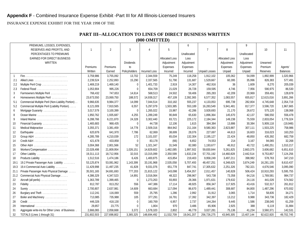INSURANCE EXPENSE EXHIBIT FOR THE YEAR 1998 OF THE

| <b>PART III--ALLOCATION TO LINES OF DIRECT BUSINESS WRITTEN</b> |  |
|-----------------------------------------------------------------|--|
| $(000 \t{OMITIED})$                                             |  |

| PREMIUMS, LOSSES, EXPENSES, |                                                   |              |                 |                  |                      |                       | 6           |                      |                       | 9           |                 |                 |
|-----------------------------|---------------------------------------------------|--------------|-----------------|------------------|----------------------|-----------------------|-------------|----------------------|-----------------------|-------------|-----------------|-----------------|
|                             | RESERVES AND PROFITS, AND                         | $\mathbf{1}$ | $\overline{2}$  | $\mathcal{R}$    | 4                    | 5                     |             | $\overline{7}$       | 8                     |             | 10 <sup>1</sup> | 11              |
|                             | PERCENTAGES TO PREMIUMS                           |              |                 |                  |                      |                       | Unallocated |                      |                       | Unallocated |                 |                 |
| EARNED FOR DIRECT BUSINESS  |                                                   |              |                 |                  |                      | <b>Allocated Loss</b> | Loss        |                      | <b>Allocated Loss</b> | Loss        |                 |                 |
|                             | WRITTEN                                           |              |                 | <b>Dividends</b> |                      | Adjustment            | Adjustment  |                      | Adjustment            | Adjustment  | Unearned        |                 |
|                             |                                                   | Premiums     | <b>Premiums</b> | to               |                      | Expenses              | Expenses    |                      | Expenses              | Expenses    | Premium         | Agents'         |
|                             |                                                   | Written      | Earned          | Policyholders    | <b>Incurred Loss</b> | Incurred              | Incurred    | <b>Unpaid Losses</b> | Unpaid                | Unpaid      | <b>Reserves</b> | <b>Balances</b> |
| $\overline{1}$              |                                                   | 3.759.986    | 3.755.092       | 13.702           | 2,344,559            | 75.249                | 118.258     | 1.912.102            | 105.062               | 54,099      | 1.892.999       | 1,020,966       |
| 2.1                         |                                                   | 2,239,524    | 2,252,893       | 15,290           | 2,337,565            | 51,790                | 131,687     | 1,529,667            | 60,395                | 35,996      | 826,383         | 577,491         |
| 2.2                         | Multiple Peril Crop                               | 1,469,219    | 1,469,140       | $\Omega$         | 1,401,733            | 2,919                 | 14,307      | 462,916              | 36                    | 1,609       | 8,270           | 205,039         |
| 2.3                         | Federal Flood                                     | 1,053,904    | 995,226         | $\Omega$         | 654,709              | 21,029                | 26,728      | 159,595              | 4,746                 | 7,956       | 590.975         | 86,530          |
| 3                           | Farmowners Multiple Peril                         | 766,432      | 747,653         | 14,614           | 568,513              | 24,502                | 59,406      | 265,283              | 42,209                | 20,969      | 359,491         | 128,878         |
| 4                           | Homeowners Multiple Peril                         | 23,673,550   | 23,069,750      | 188,572          | 14,939,317           | 457,109               | 2,392,365   | 6,577,352            | 1,083,557             | 655,817     | 12,615,016      | 3,891,266       |
| 5.1                         | Commercial Multiple Peril (Non-Liability Portion) | 9,966,635    | 9,984,377       | 14,099           | 7,044,514            | 310,182               | 555,237     | 4,133,053            | 695,739               | 282,804     | 4,745,648       | 2,354,719       |
| 5.2                         | Commercial Multiple Peril (Liability Portion)     | 8,121,009    | 7,910,565       | 6,557            | 5,297,079            | 1,503,385             | 553,189     | 16,283,549           | 5,941,481             | 817,377     | 3,596,720       | 1,967,665       |
| 6                           | Mortgage Guaranty                                 | 3,017,579    | 3,100,399       | $\Omega$         | 1,265,022            | 15.987                | 42,286      | 3,928,693            | 21,170                | 26,672      | 575,120         | 138,068         |
| 8                           | Ocean Marine                                      | 1,950,762    | 1,935,687       | 4,255            | 1,289,249            | 90,849                | 65,630      | 1,896,364            | 145,670               | 42,137      | 586,550         | 556,478         |
| 9                           | Inland Marine                                     | 6,288,766    | 6,221,870       | 24,328           | 3,302,440            | 83,721                | 225,172     | 2,184,344            | 149,238               | 75,559      | 2,833,054       | 1,779,324       |
| 10                          | Financial Guaranty                                | 1,465,683    | 968,435         | $\overline{0}$   | 44,738               | 12,106                | 1,615       | 384,384              | 13,886                | 30,384      | 5,909,118       | (19, 948)       |
| 11                          | Medical Malpractice                               | 3,355,371    | 3,381,459       | 14,778           | 2,509,316            | 864,942               | 211,164     | 9,580,363            | 2,823,887             | 307,111     | 1,503,225       | 758,986         |
| 12                          | Earthquake                                        | 620,876      | 641,970         | 7,786            | 62,069               | 38,699                | 28,076      | 227,697              | 44,613                | 16,603      | 316,023         | 163,253         |
| 13                          |                                                   | 4,285,789    | 4,210,039       | 172              | 3,101,037            | 65,034                | 132,304     | 2,195,127            | 22,424                | 48,850      | 435,392         | 682,759         |
| 14                          |                                                   | 421,678      | 433,858         | $\Omega$         | 83,178               | (66)                  | 6,652       | 74,553               | 214                   | 3,167       | 94,065          | 32,268          |
| 15                          | Other A&H                                         | 3,004,368    | 2,801,566       | 52               | 1,321,347            | 31.549                | 82.080      | 1,193,677            | 46,912                | 40,722      | 1,490,251       | 1,010,217       |
| 16                          | Workers'Compensation                              | 22,028,498   | 21,809,954      | 1,026,151        | 14,829,602           | 1,482,085             | 1,997,502   | 59,830,844           | 5,261,825             | 2,663,375   | 3,606,682       | 6,651,610       |
| 17                          | Other Liability                                   | 19,311,113   | 18,712,956      | 32,015           | 13,315,099           | 2,350,599             | 1,632,234   | 57,701,192           | 14,460,828            | 2,442,514   | 9,753,857       | 7,124,256       |
| 18                          | Products Liability                                | 1,512,516    | 1,474,186       | 6,426            | 1,400,875            | 415,854               | 219,403     | 9,958,249            | 3,497,211             | 398,982     | 578,763         | 347,210         |
| 19.1                        | 19.2 Private Passenger Auto Liability             | 53,125,874   | 53,081,962      | 1,143,399        | 33,191,968           | 2,535,058             | 5,707,493   | 48,457,251           | 6,348,625             | 3,874,249   | 16,281,155      | 8,610,437       |
| 19.3                        | 19.4 Commercial Auto Liability                    | 11,429,998   | 11,497,235      | 41,828           | 9,031,076            | 651,778               | 847,741     | 17,305,632           | 2,251,326             | 782,321     | 4,676,546       | 3,095,090       |
| 21.1                        | Private Passenger Auto Physical Damage            | 35,501,165   | 34,691,693      | 777,203          | 21,815,122           | 143,098               | 3,454,357   | 2,011,457            | 140,828               | 506,424     | 10,910,293      | 5,595,755       |
| 21.2                        | Commercial Auto Physical Damage                   | 4,386,329    | 4,347,523       | 14,891           | 3,016,064            | 48,322                | 298,967     | 543,738              | 73,358                | 64,216      | 1,769,581       | 984,737         |
| 22                          |                                                   | 1,363,789    | 1,399,465       | $\Omega$         | 1,273,263            | 93,893                | 28,366      | 1,971,631            | 179,632               | 24,116      | 441,026         | 574,562         |
| 23                          | Fidelity                                          | 812,787      | 813,252         | 556              | 447,386              | 17,114                | 48,925      | 856,347              | 117,925               | 43,416      | 532,317         | 261,812         |
| 24                          |                                                   | 2,700,807    | 2,637,981       | 14,609           | 663,684              | 117,094               | 86,670      | 1,489,441            | 308,687               | 84,800      | 1,487,296       | 670,932         |
| 26                          | Burglary and Theft                                | 112,241      | 116,069         | 559              | 25,795               | 1,286                 | 2,992       | 31,912               | 3,065                 | 1,714       | 58,835          | 34,271          |
| 27                          | Boiler and Machinery                              | 713,985      | 735,988         | 105              | 377,291              | 16,791                | 17,392      | 342,397              | 13,212                | 9.988       | 343,736         | 182,429         |
| 28                          |                                                   | 446,326      | 418,130         | $\mathbf{0}$     | 160,769              | 6,957                 | 2,737       | 144,264              | 9,445                 | 1,586       | 238,045         | 61,259          |
| 29                          |                                                   | 29,857       | 23,775          | $\mathbf{0}$     | 1,804                | 970                   | 3,486       | 65,906               | 2,925                 | 388         | 6,119           | 31,884          |
| 31                          | Aggregate write-ins for Other Lines of Business   | 2,666,065    | 2,058,668       | 3,372            | 1,578,320            | 2,802                 | 46,779      | 3,027,281            | 75,136                | 41,234      | 3,560,371       | 142,531         |
| 32                          | TOTALS (Lines 1 through 31)                       | 231,602,503  | 227,698,802     | 3,365,325        | 148,694,492          | 11,532,709            | 19,041,207  | 256,726,275          | 43,945,305            | 13,407,144  | 92,622,920      | 49,702,745      |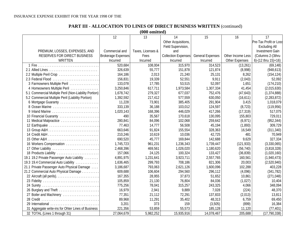#### INSURANCE EXPENSE EXHIBIT FOR THE YEAR 1998 OF THE

## **PART III - ALLOCATION TO LINES OF DIRECT BUSINESS WRITTEN** (continued)

**(000 omitted)**

|                                                       | 12                        | 13                | 14                         | 15                      | 16                | 17                     |
|-------------------------------------------------------|---------------------------|-------------------|----------------------------|-------------------------|-------------------|------------------------|
|                                                       |                           |                   | Other Acquisitions         |                         |                   | Pre-Tax Profit or Loss |
|                                                       |                           |                   | Field Supervision,         |                         |                   | <b>Excluding All</b>   |
| PREMIUM, LOSSES, EXPENSES, AND                        | Commercial and            | Taxes, Licenses & | and                        |                         |                   | <b>Investment Gain</b> |
| RESERVES FOR DIRECT BUSINESS                          | <b>Brokerage Expenses</b> | Fees              | <b>Collection Expenses</b> | <b>General Expenses</b> | Other Income Less | (Columns 2-(3thru      |
| WRITTEN                                               | Incurred                  | Incurred          | Incurred                   | Incurred                | Other Expenses    | $6)-(12$ thru $15)+16$ |
|                                                       | 520,684                   | 108,004           | 315,970                    | 314,523                 | (13,261)          | (69, 148)              |
|                                                       | 326,639                   | 55,777            | 151,878                    | 121,874                 | (8,998)           | (948, 613)             |
| 2.2 Multiple Peril Crop                               | 164,186                   | 2,013             | 21,240                     | 25,131                  | 8,262             | (154, 124)             |
| 2.3 Federal Flood                                     | 156,831                   | 19,339            | 52,551                     | 9,911                   | (2,043)           | 52,092                 |
| 3 Farmowners Multiple Peril                           | 133,078                   | 17,785            | 53,515                     | 52,097                  | 1,651             | (174, 210)             |
| 4 Homeowners Multiple Peril                           | 3,250,846                 | 617,711           | 1,973,584                  | 1,307,334               | 41,454            | (2,015,630)            |
| 5.1 Commercial Multiple Peril (Non-Liability Portion) | 1,678,742                 | 279,327           | 677,037                    | 752,476                 | (47, 643)         | (1, 374, 888)          |
| 5.2 Commercial Multiple Peril (Liability Portion)     | 1,392,592                 | 217,412           | 577,559                    | 630,050                 | (16,611)          | (2, 283, 872)          |
| 6 Mortgage Guaranty                                   | 11,228                    | 73,901            | 385,405                    | 291,904                 | 3,415             | 1,018,079              |
| 8 Ocean Marine                                        | 333,139                   | 36,188            | 103,012                    | 124,597                 | (8, 723)          | (119, 956)             |
| 9 Inland Marine                                       | 1,020,143                 | 168,396           | 446,029                    | 417,266                 | (17, 319)         | 517,075                |
| 10 Financial Guaranty                                 | 490                       | 35,567            | 170,618                    | 130,095                 | 155,803           | 729,011                |
| 11 Medical Malpractice                                | 280,841                   | 84,096            | 102,068                    | 259,642                 | (6,971)           | (952, 344)             |
| 12 Earthquake                                         | 77,463                    | 14,777            | 56,508                     | 45,194                  | (1,893)           | 309,729                |
|                                                       | 663,646                   | 91,824            | 155,554                    | 328,363                 | 16,549            | (311, 340)             |
|                                                       | 210,246                   | 10,619            | 10,036                     | 42,725                  | 481               | 70,949                 |
| 15 Other A&H                                          | 690,520                   | 45,777            | 169,844                    | 142,688                 | 9,629             | 327,334                |
| 16 Workers Compensation                               | 1,745,723                 | 961,231           | 1,236,343                  | 1,739,447               | (121, 933)        | (3,330,065)            |
| 17 Other Liability                                    | 2,468,396                 | 469,561           | 1,026,020                  | 1,180,620               | (56, 740)         | (3,818,328)            |
| 18 Products Liability                                 | 157,066                   | 24,125            | 100,324                    | 133,427                 | (36, 839)         | (1,020,160)            |
| 19.1 19.2 Private Passenger Auto Liability            | 4,891,975                 | 1,231,641         | 3,923,711                  | 2,557,765               | 160,561           | (1,940,473)            |
| 19.3 19.4 Commercial Auto Liability                   | 1,636,465                 | 299,793           | 708,186                    | 821,306                 | 20,003            | (2,520,940)            |
| 21.1 Private Passenger Auto Physical Damage           | 3,186,687                 | 793,063           | 2,621,126                  | 1,600,096               | 102,288           | 403,228                |
| 21.2 Commercial Auto Physical Damage                  | 609,688                   | 106,604           | 294,560                    | 296,112                 | (4,096)           | (341, 782)             |
|                                                       | 167,355                   | 28,955            | 37,873                     | 51,652                  | 10,861            | (271, 048)             |
| 23 Fidelity                                           | 105,859                   | 21,130            | 76,804                     | 84,036                  | (1,027)           | 10,404                 |
| 24 Surety                                             | 775,256                   | 78,041            | 315,257                    | 243,325                 | 4,066             | 348,094                |
| 26 Burglary and Theft                                 | 16,979                    | 2,941             | 9,889                      | 7,028                   | (224)             | 48,370                 |
| 27 Boiler and Machinery                               | 77,351                    | 21,112            | 72,291                     | 137,833                 | (2,013)           | 13,811                 |
|                                                       | 89,968                    | 11,291            | 35,402                     | 48,313                  | 6,759             | 69,450                 |
| 29 International                                      | 3,201                     | 373               | 159                        | (3, 505)                | (899)             | 16,384                 |
| 31 Aggregate write-ins for Ohter Lines of Business    | 221,356                   | 53,859            | 55,573                     | 185,128                 | 11,120            | (77, 401)              |
| 32 TOTAL (Lines 1 through 31)                         | 27,064,679                | 5,982,252         | 15,935,916                 | 14,078,467              | 205,688           | (17, 790, 338)         |